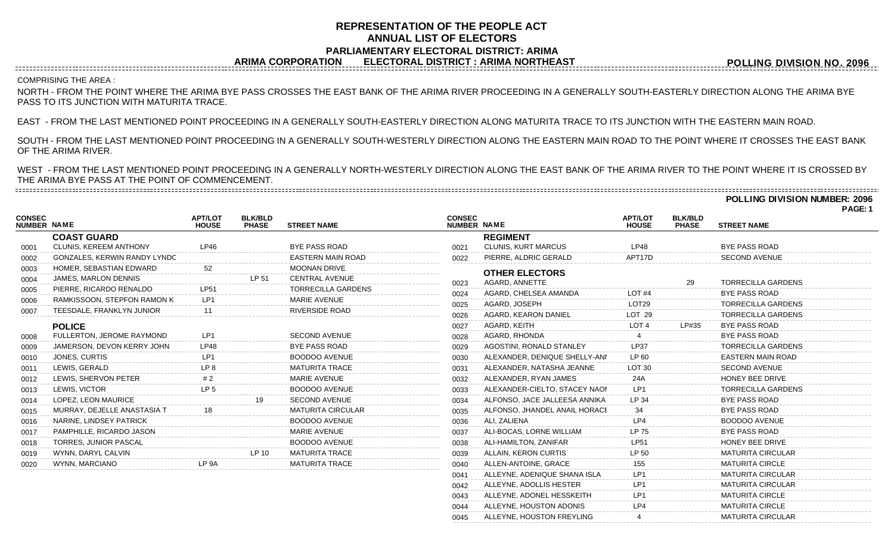# **REPRESENTATION OF THE PEOPLE ACT ANNUAL LIST OF ELECTORS PARLIAMENTARY ELECTORAL DISTRICT: ARIMA ARIMA CORPORATION ELECTORAL DISTRICT : ARIMA NORTHEAST**

**POLLING DIVISION NO. 2096**

# ------------------------------COMPRISING THE AREA :

NORTH - FROM THE POINT WHERE THE ARIMA BYE PASS CROSSES THE EAST BANK OF THE ARIMA RIVER PROCEEDING IN A GENERALLY SOUTH-EASTERLY DIRECTION ALONG THE ARIMA BYE PASS TO ITS JUNCTION WITH MATURITA TRACE.

EAST - FROM THE LAST MENTIONED POINT PROCEEDING IN A GENERALLY SOUTH-EASTERLY DIRECTION ALONG MATURITA TRACE TO ITS JUNCTION WITH THE EASTERN MAIN ROAD.

SOUTH - FROM THE LAST MENTIONED POINT PROCEEDING IN A GENERALLY SOUTH-WESTERLY DIRECTION ALONG THE EASTERN MAIN ROAD TO THE POINT WHERE IT CROSSES THE EAST BANK OF THE ARIMA RIVER.

WEST - FROM THE LAST MENTIONED POINT PROCEEDING IN A GENERALLY NORTH-WESTERLY DIRECTION ALONG THE EAST BANK OF THE ARIMA RIVER TO THE POINT WHERE IT IS CROSSED BY THE ARIMA BYE PASS AT THE POINT OF COMMENCEMENT. 

**POLLING DIVISION NUMBER: 2096**

**PAGE: 1**

| <b>CONSEC</b><br>NUMBER NAME |                               | <b>APT/LOT</b><br><b>HOUSE</b> | <b>BLK/BLD</b><br><b>PHASE</b> | <b>STREET NAME</b>        | <b>CONSEC</b><br>NUMBER NAME |                               | <b>APT/LOT</b><br><b>HOUSE</b> | <b>BLK/BLD</b><br><b>PHASE</b> | <b>STREET NAME</b>        |
|------------------------------|-------------------------------|--------------------------------|--------------------------------|---------------------------|------------------------------|-------------------------------|--------------------------------|--------------------------------|---------------------------|
|                              | <b>COAST GUARD</b>            |                                |                                |                           |                              | <b>REGIMENT</b>               |                                |                                |                           |
| 0001                         | <b>CLUNIS, KEREEM ANTHONY</b> | LP46                           |                                | <b>BYE PASS ROAD</b>      | 0021                         | <b>CLUNIS, KURT MARCUS</b>    | LP48                           |                                | <b>BYE PASS ROAD</b>      |
| 0002                         | GONZALES, KERWIN RANDY LYNDC  |                                |                                | <b>EASTERN MAIN ROAD</b>  | 0022                         | PIERRE, ALDRIC GERALD         | APT17D                         |                                | <b>SECOND AVENUE</b>      |
| 0003                         | HOMER, SEBASTIAN EDWARD       |                                |                                | <b>MOONAN DRIVE</b>       |                              | <b>OTHER ELECTORS</b>         |                                |                                |                           |
| 0004                         | JAMES, MARLON DENNIS          |                                | LP 51                          | <b>CENTRAL AVENUE</b>     | 0023                         | AGARD, ANNETTE                |                                | 29                             | <b>TORRECILLA GARDENS</b> |
| 0005                         | PIERRE, RICARDO RENALDO       | <b>LP51</b>                    |                                | <b>TORRECILLA GARDENS</b> | 0024                         | AGARD, CHELSEA AMANDA         | LOT <sub>#4</sub>              |                                | <b>BYE PASS ROAD</b>      |
| 0006                         | RAMKISSOON, STEPFON RAMON K   | LP <sub>1</sub>                |                                | <b>MARIE AVENUE</b>       | 0025                         | AGARD, JOSEPH                 | LOT <sub>29</sub>              |                                | <b>TORRECILLA GARDENS</b> |
| 0007                         | TEESDALE, FRANKLYN JUNIOR     |                                |                                | <b>RIVERSIDE ROAD</b>     | 0026                         | AGARD, KEARON DANIEL          | LOT <sub>29</sub>              |                                | <b>TORRECILLA GARDENS</b> |
|                              | <b>POLICE</b>                 |                                |                                |                           | 0027                         | AGARD, KEITH                  | LOT <sub>4</sub>               | LP#35                          | <b>BYE PASS ROAD</b>      |
| 0008                         | FULLERTON, JEROME RAYMOND     | LP <sub>1</sub>                |                                | <b>SECOND AVENUE</b>      | 0028                         | AGARD, RHONDA                 |                                |                                | <b>BYE PASS ROAD</b>      |
| 0009                         | JAMERSON, DEVON KERRY JOHN    | <b>LP48</b>                    |                                | <b>BYE PASS ROAD</b>      | 0029                         | AGOSTINI, RONALD STANLEY      | <b>LP37</b>                    |                                | <b>TORRECILLA GARDENS</b> |
| 0010                         | JONES, CURTIS                 | I P1                           |                                | <b>BOODOO AVENUE</b>      | 0030                         | ALEXANDER, DENIQUE SHELLY-ANI | LP 60                          |                                | <b>EASTERN MAIN ROAD</b>  |
| 0011                         | LEWIS, GERALD                 | IP8                            |                                | <b>MATURITA TRACE</b>     | 0031                         | ALEXANDER, NATASHA JEANNE     | LOT <sub>30</sub>              |                                | <b>SECOND AVENUE</b>      |
| 0012                         | LEWIS, SHERVON PETER          | #2                             |                                | <b>MARIE AVENUE</b>       | 0032                         | ALEXANDER, RYAN JAMES         | 24A                            |                                | HONEY BEE DRIVE           |
| 0013                         | LEWIS, VICTOR                 | LP <sub>5</sub>                |                                | <b>BOODOO AVENUE</b>      | 0033                         | ALEXANDER-CIELTO, STACEY NAON | LP1                            |                                | <b>TORRECILLA GARDENS</b> |
| 0014                         | LOPEZ, LEON MAURICE           |                                |                                | <b>SECOND AVENUE</b>      | 0034                         | ALFONSO, JACE JALLEESA ANNIKA | LP 34                          |                                | <b>BYE PASS ROAD</b>      |
| 0015                         | MURRAY, DEJELLE ANASTASIA 1   |                                |                                | <b>MATURITA CIRCULAR</b>  | 0035                         | ALFONSO, JHANDEL ANAIL HORACE | 34                             |                                | <b>BYE PASS ROAD</b>      |
| 0016                         | NARINE, LINDSEY PATRICK       |                                |                                | <b>BOODOO AVENUE</b>      | 0036                         | ALI. ZALIENA                  | LP4                            |                                | <b>BOODOO AVENUE</b>      |
| 0017                         | PAMPHILLE, RICARDO JASON      |                                |                                | <b>MARIE AVENUE</b>       | 0037                         | ALI-BOCAS, LORNE WILLIAM      | <b>LP 75</b>                   |                                | <b>BYE PASS ROAD</b>      |
| 0018                         | TORRES, JUNIOR PASCAL         |                                |                                | <b>BOODOO AVENUE</b>      | 0038                         | ALI-HAMILTON, ZANIFAR         | <b>LP51</b>                    |                                | HONEY BEE DRIVE           |
| 0019                         | WYNN, DARYL CALVIN            |                                | LP 10                          | <b>MATURITA TRACE</b>     | 0039                         | ALLAIN, KERON CURTIS          | LP 50                          |                                | <b>MATURITA CIRCULAR</b>  |
| 0020                         | WYNN, MARCIANO                | LP <sub>9A</sub>               |                                | <b>MATURITA TRACE</b>     | 0040                         | ALLEN-ANTOINE, GRACE          | 155                            |                                | <b>MATURITA CIRCLE</b>    |
|                              |                               |                                |                                |                           | 0041                         | ALLEYNE, ADENIQUE SHANA ISLA  | LP <sub>1</sub>                |                                | <b>MATURITA CIRCULAR</b>  |
|                              |                               |                                |                                |                           | 0042                         | ALLEYNE, ADOLLIS HESTER       | LP <sub>1</sub>                |                                | <b>MATURITA CIRCULAR</b>  |
|                              |                               |                                |                                |                           | 0043                         | ALLEYNE, ADONEL HESSKEITH     | LP <sub>1</sub>                |                                | <b>MATURITA CIRCLE</b>    |

 ALLEYNE, HOUSTON ADONIS LP4 MATURITA CIRCLE 0045 ALLEYNE, HOUSTON FREYLING 4 ALLEYNE, HOUSTON FREYLING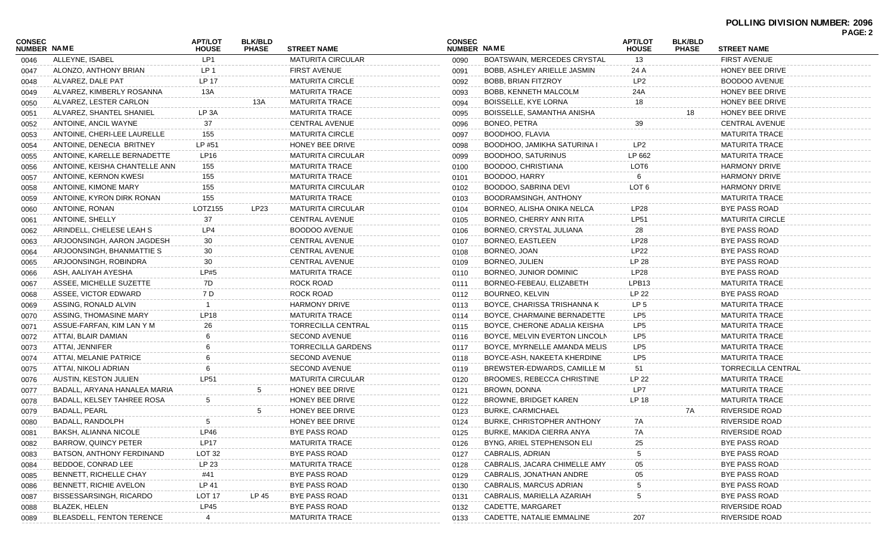|                              |                               |                                |                                |                           |                              |                                    |                                |                                |                           | PAGE: 2 |
|------------------------------|-------------------------------|--------------------------------|--------------------------------|---------------------------|------------------------------|------------------------------------|--------------------------------|--------------------------------|---------------------------|---------|
| <b>CONSEC</b><br>NUMBER NAME |                               | <b>APT/LOT</b><br><b>HOUSE</b> | <b>BLK/BLD</b><br><b>PHASE</b> | <b>STREET NAME</b>        | <b>CONSEC</b><br>NUMBER NAME |                                    | <b>APT/LOT</b><br><b>HOUSE</b> | <b>BLK/BLD</b><br><b>PHASE</b> | <b>STREET NAME</b>        |         |
| 0046                         | ALLEYNE, ISABEL               | LP1                            |                                | <b>MATURITA CIRCULAR</b>  | 0090                         | <b>BOATSWAIN, MERCEDES CRYSTAL</b> | 13                             |                                | <b>FIRST AVENUE</b>       |         |
| 0047                         | ALONZO, ANTHONY BRIAN         | LP 1                           |                                | <b>FIRST AVENUE</b>       | 0091                         | <b>BOBB, ASHLEY ARIELLE JASMIN</b> | 24 A                           |                                | HONEY BEE DRIVE           |         |
| 0048                         | ALVAREZ. DALE PAT             | LP 17                          |                                | <b>MATURITA CIRCLE</b>    | 0092                         | <b>BOBB, BRIAN FITZROY</b>         | LP <sub>2</sub>                |                                | <b>BOODOO AVENUE</b>      |         |
| 0049                         | ALVAREZ, KIMBERLY ROSANNA     | 13A                            |                                | <b>MATURITA TRACE</b>     | 0093                         | BOBB, KENNETH MALCOLM              | 24A                            |                                | HONEY BEE DRIVE           |         |
| 0050                         | ALVAREZ, LESTER CARLON        |                                | 13A                            | <b>MATURITA TRACE</b>     | 0094                         | BOISSELLE, KYE LORNA               | 18                             |                                | HONEY BEE DRIVE           |         |
| 0051                         | ALVAREZ, SHANTEL SHANIEL      | LP <sub>3</sub> A              |                                | <b>MATURITA TRACE</b>     | 0095                         | BOISSELLE, SAMANTHA ANISHA         |                                | 18                             | HONEY BEE DRIVE           |         |
| 0052                         | ANTOINE, ANCIL WAYNE          | 37                             |                                | <b>CENTRAL AVENUE</b>     | 0096                         | <b>BONEO, PETRA</b>                | 39                             |                                | <b>CENTRAL AVENUE</b>     |         |
| 0053                         | ANTOINE, CHERI-LEE LAURELLE   | 155                            |                                | <b>MATURITA CIRCLE</b>    | 0097                         | BOODHOO, FLAVIA                    |                                |                                | <b>MATURITA TRACE</b>     |         |
| 0054                         | ANTOINE, DENECIA BRITNEY      | LP #51                         |                                | HONEY BEE DRIVE           | 0098                         | BOODHOO, JAMIKHA SATURINA I        | LP <sub>2</sub>                |                                | <b>MATURITA TRACE</b>     |         |
| 0055                         | ANTOINE, KARELLE BERNADETTE   | LP16                           |                                | <b>MATURITA CIRCULAR</b>  | 0099                         | BOODHOO, SATURINUS                 | LP 662                         |                                | <b>MATURITA TRACE</b>     |         |
| 0056                         | ANTOINE, KEISHA CHANTELLE ANN | 155                            |                                | <b>MATURITA TRACE</b>     | 0100                         | BOODOO, CHRISTIANA                 | LOT6                           |                                | <b>HARMONY DRIVE</b>      |         |
| 0057                         | ANTOINE, KERNON KWESI         | 155                            |                                | <b>MATURITA TRACE</b>     | 0101                         | BOODOO, HARRY                      | 6                              |                                | <b>HARMONY DRIVE</b>      |         |
| 0058                         | ANTOINE, KIMONE MARY          | 155                            |                                | <b>MATURITA CIRCULAR</b>  | 0102                         | BOODOO, SABRINA DEVI               | LOT <sub>6</sub>               |                                | <b>HARMONY DRIVE</b>      |         |
| 0059                         | ANTOINE, KYRON DIRK RONAN     | 155                            |                                | <b>MATURITA TRACE</b>     | 0103                         | BOODRAMSINGH, ANTHONY              |                                |                                | <b>MATURITA TRACE</b>     |         |
| 0060                         | ANTOINE, RONAN                | LOTZ155                        | LP23                           | <b>MATURITA CIRCULAR</b>  | 0104                         | BORNEO, ALISHA ONIKA NELCA         | LP28                           |                                | <b>BYE PASS ROAD</b>      |         |
| 0061                         | ANTOINE, SHELLY               | 37                             |                                | <b>CENTRAL AVENUE</b>     | 0105                         | BORNEO, CHERRY ANN RITA            | <b>LP51</b>                    |                                | <b>MATURITA CIRCLE</b>    |         |
| 0062                         | ARINDELL, CHELESE LEAH S      | LP4                            |                                | <b>BOODOO AVENUE</b>      | 0106                         | BORNEO, CRYSTAL JULIANA            | 28                             |                                | <b>BYE PASS ROAD</b>      |         |
| 0063                         | ARJOONSINGH, AARON JAGDESH    | 30                             |                                | <b>CENTRAL AVENUE</b>     | 0107                         | <b>BORNEO, EASTLEEN</b>            | LP28                           |                                | <b>BYE PASS ROAD</b>      |         |
| 0064                         | ARJOONSINGH, BHANMATTIE S     | 30                             |                                | <b>CENTRAL AVENUE</b>     | 0108                         | BORNEO, JOAN                       | <b>LP22</b>                    |                                | <b>BYE PASS ROAD</b>      |         |
| 0065                         | ARJOONSINGH, ROBINDRA         | 30                             |                                | CENTRAL AVENUE            | 0109                         | BORNEO, JULIEN                     | <b>LP 28</b>                   |                                | <b>BYE PASS ROAD</b>      |         |
| 0066                         | ASH, AALIYAH AYESHA           | LP#5                           |                                | <b>MATURITA TRACE</b>     | 0110                         | BORNEO, JUNIOR DOMINIC             | LP28                           |                                | <b>BYE PASS ROAD</b>      |         |
| 0067                         | ASSEE, MICHELLE SUZETTE       | 7D                             |                                | <b>ROCK ROAD</b>          | 0111                         | BORNEO-FEBEAU, ELIZABETH           | LPB <sub>13</sub>              |                                | <b>MATURITA TRACE</b>     |         |
| 0068                         | ASSEE, VICTOR EDWARD          | 7 D                            |                                | ROCK ROAD                 | 0112                         | BOURNEO, KELVIN                    | LP 22                          |                                | <b>BYE PASS ROAD</b>      |         |
| 0069                         | ASSING, RONALD ALVIN          |                                |                                | <b>HARMONY DRIVE</b>      | 0113                         | BOYCE, CHARISSA TRISHANNA K        | LP <sub>5</sub>                |                                | <b>MATURITA TRACE</b>     |         |
| 0070                         | ASSING, THOMASINE MARY        | <b>LP18</b>                    |                                | <b>MATURITA TRACE</b>     | 0114                         | BOYCE, CHARMAINE BERNADETTE        | LP <sub>5</sub>                |                                | <b>MATURITA TRACE</b>     |         |
| 0071                         | ASSUE-FARFAN, KIM LAN Y M     | 26                             |                                | <b>TORRECILLA CENTRAL</b> | 0115                         | BOYCE, CHERONE ADALIA KEISHA       | LP <sub>5</sub>                |                                | <b>MATURITA TRACE</b>     |         |
| 0072                         | ATTAI, BLAIR DAMIAN           |                                |                                | <b>SECOND AVENUE</b>      | 0116                         | BOYCE, MELVIN EVERTON LINCOLN      | LP <sub>5</sub>                |                                | <b>MATURITA TRACE</b>     |         |
| 0073                         | ATTAI, JENNIFER               |                                |                                | <b>TORRECILLA GARDENS</b> | 0117                         | BOYCE, MYRNELLE AMANDA MELIS       | LP <sub>5</sub>                |                                | <b>MATURITA TRACE</b>     |         |
| 0074                         | ATTAI, MELANIE PATRICE        |                                |                                | <b>SECOND AVENUE</b>      | 0118                         | BOYCE-ASH, NAKEETA KHERDINE        | LP <sub>5</sub>                |                                | <b>MATURITA TRACE</b>     |         |
| 0075                         | ATTAI, NIKOLI ADRIAN          |                                |                                | SECOND AVENUE             | 0119                         | BREWSTER-EDWARDS, CAMILLE M        | 51                             |                                | <b>TORRECILLA CENTRAL</b> |         |
| 0076                         | AUSTIN, KESTON JULIEN         | <b>LP51</b>                    |                                | <b>MATURITA CIRCULAR</b>  | 0120                         | <b>BROOMES, REBECCA CHRISTINE</b>  | LP 22                          |                                | <b>MATURITA TRACE</b>     |         |
| 0077                         | BADALL, ARYANA HANALEA MARIA  |                                | 5                              | HONEY BEE DRIVE           | 0121                         | <b>BROWN, DONNA</b>                | LP7                            |                                | <b>MATURITA TRACE</b>     |         |
| 0078                         | BADALL, KELSEY TAHREE ROSA    | 5                              |                                | HONEY BEE DRIVE           | 0122                         | <b>BROWNE, BRIDGET KAREN</b>       | LP 18                          |                                | <b>MATURITA TRACE</b>     |         |
| 0079                         | BADALL, PEARL                 |                                | 5                              | HONEY BEE DRIVE           | 0123                         | <b>BURKE, CARMICHAEL</b>           |                                | 7A                             | <b>RIVERSIDE ROAD</b>     |         |
| 0080                         | <b>BADALL, RANDOLPH</b>       | 5                              |                                | HONEY BEE DRIVE           | 0124                         | <b>BURKE, CHRISTOPHER ANTHONY</b>  | 7A                             |                                | <b>RIVERSIDE ROAD</b>     |         |
| 0081                         | BAKSH, ALIANNA NICOLE         | LP46                           |                                | BYE PASS ROAD             | 0125                         | BURKE, MAKIDA CIERRA ANYA          | 7A                             |                                | RIVERSIDE ROAD            |         |
| 0082                         | <b>BARROW, QUINCY PETER</b>   | <b>LP17</b>                    |                                | <b>MATURITA TRACE</b>     | 0126                         | BYNG, ARIEL STEPHENSON ELI         | 25                             |                                | <b>BYE PASS ROAD</b>      |         |
| 0083                         | BATSON, ANTHONY FERDINAND     | <b>LOT 32</b>                  |                                | BYE PASS ROAD             | 0127                         | CABRALIS, ADRIAN                   |                                |                                | BYE PASS ROAD             |         |
| 0084                         | BEDDOE, CONRAD LEE            | LP 23                          |                                | <b>MATURITA TRACE</b>     | 0128                         | CABRALIS, JACARA CHIMELLE AMY      | 05                             |                                | <b>BYE PASS ROAD</b>      |         |
| 0085                         | <b>BENNETT, RICHELLE CHAY</b> | #41                            |                                | BYE PASS ROAD             | 0129                         | CABRALIS, JONATHAN ANDRE           | 05                             |                                | <b>BYE PASS ROAD</b>      |         |
| 0086                         | <b>BENNETT, RICHIE AVELON</b> | LP 41                          |                                | BYE PASS ROAD             | 0130                         | CABRALIS, MARCUS ADRIAN            |                                |                                | BYE PASS ROAD             |         |
| 0087                         | BISSESSARSINGH, RICARDO       | LOT <sub>17</sub>              | LP 45                          | BYE PASS ROAD             | 0131                         | CABRALIS, MARIELLA AZARIAH         |                                |                                | <b>BYE PASS ROAD</b>      |         |
| 0088                         | BLAZEK, HELEN                 | LP45                           |                                | BYE PASS ROAD             | 0132                         | CADETTE, MARGARET                  |                                |                                | <b>RIVERSIDE ROAD</b>     |         |
| 0089                         | BLEASDELL, FENTON TERENCE     | 4                              |                                | <b>MATURITA TRACE</b>     | 0133                         | CADETTE, NATALIE EMMALINE          | 207                            |                                | RIVERSIDE ROAD            |         |
|                              |                               |                                |                                |                           |                              |                                    |                                |                                |                           |         |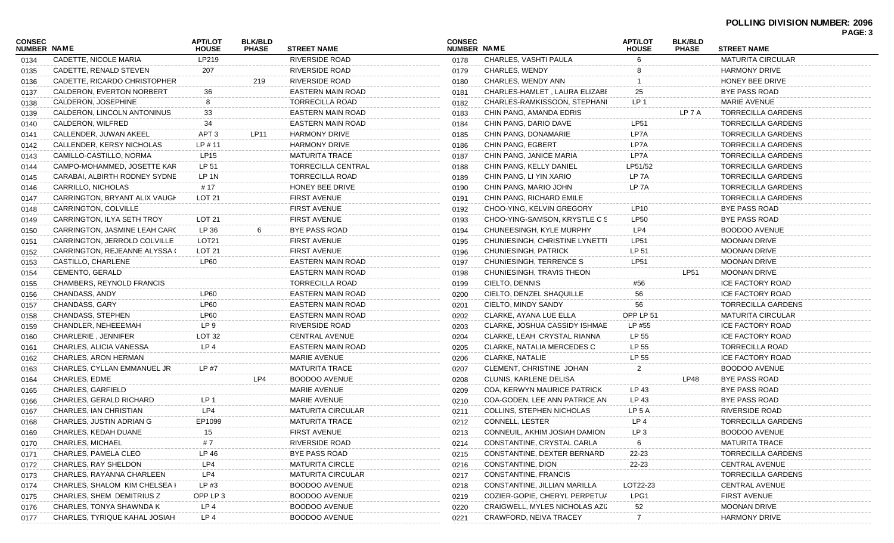| <b>CONSEC</b><br>NUMBER NAME |                               | <b>APT/LOT</b><br><b>HOUSE</b> | <b>BLK/BLD</b><br><b>PHASE</b> | <b>STREET NAME</b>                                | <b>CONSEC</b><br>NUMBER NAME |                                | <b>APT/LOT</b><br><b>HOUSE</b> | <b>BLK/BLD</b><br><b>PHASE</b> | <b>STREET NAME</b>                          | . UU.J |
|------------------------------|-------------------------------|--------------------------------|--------------------------------|---------------------------------------------------|------------------------------|--------------------------------|--------------------------------|--------------------------------|---------------------------------------------|--------|
| 0134                         | CADETTE, NICOLE MARIA         | LP219                          |                                | <b>RIVERSIDE ROAD</b>                             | 0178                         | CHARLES, VASHTI PAULA          | 6                              |                                | <b>MATURITA CIRCULAR</b>                    |        |
| 0135                         | CADETTE, RENALD STEVEN        | 207                            |                                | <b>RIVERSIDE ROAD</b>                             | 0179                         | CHARLES, WENDY                 |                                |                                | <b>HARMONY DRIVE</b>                        |        |
| 0136                         | CADETTE, RICARDO CHRISTOPHER  |                                | 219                            | <b>RIVERSIDE ROAD</b>                             | 0180                         | CHARLES, WENDY ANN             |                                |                                | HONEY BEE DRIVE                             |        |
| 0137                         | CALDERON, EVERTON NORBERT     | 36                             |                                | <b>EASTERN MAIN ROAD</b>                          | 0181                         | CHARLES-HAMLET, LAURA ELIZABI  | 25                             |                                | <b>BYE PASS ROAD</b>                        |        |
| 0138                         | CALDERON, JOSEPHINE           |                                |                                | <b>TORRECILLA ROAD</b>                            | 0182                         | CHARLES-RAMKISSOON, STEPHANI   | LP 1                           |                                | <b>MARIE AVENUE</b>                         |        |
| 0139                         | CALDERON, LINCOLN ANTONINUS   | 33                             |                                | <b>EASTERN MAIN ROAD</b>                          | 0183                         | CHIN PANG, AMANDA EDRIS        |                                | LP 7 A                         | <b>TORRECILLA GARDENS</b>                   |        |
| 0140                         | CALDERON, WILFRED             | 34                             |                                | EASTERN MAIN ROAD                                 | 0184                         | CHIN PANG, DARIO DAVE          | <b>LP51</b>                    |                                | <b>TORRECILLA GARDENS</b>                   |        |
| 0141                         | CALLENDER, JUWAN AKEEL        | APT <sub>3</sub>               | <b>LP11</b>                    | <b>HARMONY DRIVE</b>                              | 0185                         | CHIN PANG, DONAMARIE           | LP7A                           |                                | <b>TORRECILLA GARDENS</b>                   |        |
| 0142                         | CALLENDER, KERSY NICHOLAS     | $LP$ #11                       |                                | <b>HARMONY DRIVE</b>                              | 0186                         | CHIN PANG, EGBERT              | LP7A                           |                                | <b>TORRECILLA GARDENS</b>                   |        |
| 0143                         | CAMILLO-CASTILLO, NORMA       | LP15                           |                                | <b>MATURITA TRACE</b>                             | 0187                         | CHIN PANG, JANICE MARIA        | LP7A                           |                                | <b>TORRECILLA GARDENS</b>                   |        |
| 0144                         | CAMPO-MOHAMMED, JOSETTE KAR   | LP 51                          |                                | <b>TORRECILLA CENTRAL</b>                         | 0188                         | CHIN PANG, KELLY DANIEL        | LP51/52                        |                                | TORRECILLA GARDENS                          |        |
| 0145                         | CARABAI, ALBIRTH RODNEY SYDNE | LP 1N                          |                                | <b>TORRECILLA ROAD</b>                            | 0189                         | CHIN PANG, LI YIN XARIO        | LP 7A                          |                                | <b>TORRECILLA GARDENS</b>                   |        |
| 0146                         | CARRILLO, NICHOLAS            | # 17                           |                                | HONEY BEE DRIVE                                   | 0190                         | CHIN PANG, MARIO JOHN          | LP <sub>7</sub> A              |                                | <b>TORRECILLA GARDENS</b>                   |        |
| 0147                         | CARRINGTON, BRYANT ALIX VAUGH | LOT 21                         |                                | <b>FIRST AVENUE</b>                               | 0191                         | CHIN PANG, RICHARD EMILE       |                                |                                | <b>TORRECILLA GARDENS</b>                   |        |
| 0148                         | CARRINGTON, COLVILLE          |                                |                                | <b>FIRST AVENUE</b>                               | 0192                         | CHOO-YING, KELVIN GREGORY      | LP <sub>10</sub>               |                                | <b>BYE PASS ROAD</b>                        |        |
| 0149                         | CARRINGTON, ILYA SETH TROY    | LOT <sub>21</sub>              |                                | <b>FIRST AVENUE</b>                               | 0193                         | CHOO-YING-SAMSON, KRYSTLE C S  | <b>LP50</b>                    |                                | BYE PASS ROAD                               |        |
| 0150                         | CARRINGTON, JASMINE LEAH CARO | LP 36                          |                                | <b>BYE PASS ROAD</b>                              | 0194                         | CHUNEESINGH, KYLE MURPHY       | LP4                            |                                | <b>BOODOO AVENUE</b>                        |        |
| 0151                         | CARRINGTON, JERROLD COLVILLE  | LOT <sub>21</sub>              |                                | <b>FIRST AVENUE</b>                               | 0195                         | CHUNIESINGH, CHRISTINE LYNETTI | LP51                           |                                | <b>MOONAN DRIVE</b>                         |        |
| 0152                         | CARRINGTON, REJEANNE ALYSSA ( | LOT <sub>21</sub>              |                                | <b>FIRST AVENUE</b>                               | 0196                         | CHUNIESINGH, PATRICK           | LP 51                          |                                | <b>MOONAN DRIVE</b>                         |        |
| 0153                         | CASTILLO, CHARLENE            | <b>LP60</b>                    |                                | <b>EASTERN MAIN ROAD</b>                          | 0197                         | CHUNIESINGH, TERRENCE S        | <b>LP51</b>                    |                                | <b>MOONAN DRIVE</b>                         |        |
| 0154                         | <b>CEMENTO, GERALD</b>        |                                |                                | <b>EASTERN MAIN ROAD</b>                          | 0198                         | CHUNIESINGH, TRAVIS THEON      |                                | <b>LP51</b>                    | <b>MOONAN DRIVE</b>                         |        |
| 0155                         | CHAMBERS, REYNOLD FRANCIS     |                                |                                | <b>TORRECILLA ROAD</b>                            | 0199                         | CIELTO, DENNIS                 | #56                            |                                | <b>ICE FACTORY ROAD</b>                     |        |
| 0156                         | CHANDASS, ANDY                | <b>LP60</b>                    |                                | <b>EASTERN MAIN ROAD</b>                          | 0200                         | CIELTO, DENZEL SHAQUILLE       | 56                             |                                | ICE FACTORY ROAD                            |        |
| 0157                         | <b>CHANDASS, GARY</b>         | <b>LP60</b>                    |                                | <b>EASTERN MAIN ROAD</b>                          | 0201                         | CIELTO, MINDY SANDY            | 56                             |                                | <b>TORRECILLA GARDENS</b>                   |        |
| 0158                         | CHANDASS, STEPHEN             | <b>LP60</b>                    |                                | <b>EASTERN MAIN ROAD</b>                          | 0202                         | CLARKE, AYANA LUE ELLA         | OPP LP 51                      |                                | <b>MATURITA CIRCULAR</b>                    |        |
| 0159                         | CHANDLER, NEHEEEMAH           | LP 9                           |                                | <b>RIVERSIDE ROAD</b>                             | 0203                         | CLARKE, JOSHUA CASSIDY ISHMAE  | LP #55                         |                                | ICE FACTORY ROAD                            |        |
| 0160                         | CHARLERIE, JENNIFER           | LOT <sub>32</sub>              |                                | <b>CENTRAL AVENUE</b>                             | 0204                         | CLARKE, LEAH CRYSTAL RIANNA    | LP 55                          |                                | ICE FACTORY ROAD                            |        |
|                              | CHARLES, ALICIA VANESSA       | LP <sub>4</sub>                |                                | <b>EASTERN MAIN ROAD</b>                          | 0205                         | CLARKE, NATALIA MERCEDES C     | LP 55                          |                                | <b>TORRECILLA ROAD</b>                      |        |
| 0161                         | CHARLES, ARON HERMAN          |                                |                                | MARIE AVENUE                                      | 0206                         | <b>CLARKE, NATALIE</b>         | LP 55                          |                                | <b>ICE FACTORY ROAD</b>                     |        |
| 0162                         | CHARLES, CYLLAN EMMANUEL JR   | LP #7                          |                                | <b>MATURITA TRACE</b>                             | 0207                         | CLEMENT, CHRISTINE JOHAN       | 2                              |                                | BOODOO AVENUE                               |        |
| 0163                         | CHARLES, EDME                 |                                | LP4                            | <b>BOODOO AVENUE</b>                              | 0208                         | CLUNIS, KARLENE DELISA         |                                | LP48                           | BYE PASS ROAD                               |        |
| 0164                         | <b>CHARLES, GARFIELD</b>      |                                |                                | <b>MARIE AVENUE</b>                               |                              | COA, KERWYN MAURICE PATRICK    | LP 43                          |                                | BYE PASS ROAD                               |        |
| 0165                         | CHARLES, GERALD RICHARD       | LP <sub>1</sub>                |                                | MARIE AVENUE                                      | 0209                         | COA-GODEN, LEE ANN PATRICE AN  | LP 43                          |                                | BYE PASS ROAD                               |        |
| 0166                         |                               | LP4                            |                                |                                                   | 0210                         |                                |                                |                                |                                             |        |
| 0167                         | CHARLES, IAN CHRISTIAN        |                                |                                | <b>MATURITA CIRCULAR</b><br><b>MATURITA TRACE</b> | 0211                         | COLLINS, STEPHEN NICHOLAS      | LP 5 A<br>LP <sub>4</sub>      |                                | RIVERSIDE ROAD<br><b>TORRECILLA GARDENS</b> |        |
| 0168                         | CHARLES, JUSTIN ADRIAN G      | EP1099                         |                                |                                                   | 0212                         | <b>CONNELL, LESTER</b>         | LP <sub>3</sub>                |                                |                                             |        |
| 0169                         | CHARLES, KEDAH DUANE          |                                |                                | FIRST AVENUE                                      | 0213                         | CONNEUIL, AKHIM JOSIAH DAMION  |                                |                                | BOODOO AVENUE                               |        |
| 0170                         | CHARLES, MICHAEL              | # 7                            |                                | RIVERSIDE ROAD                                    | 0214                         | CONSTANTINE, CRYSTAL CARLA     |                                |                                | <b>MATURITA TRACE</b>                       |        |
| 0171                         | CHARLES, PAMELA CLEO          | LP 46                          |                                | <b>BYE PASS ROAD</b>                              | 0215                         | CONSTANTINE, DEXTER BERNARD    | 22-23                          |                                | <b>TORRECILLA GARDENS</b>                   |        |
| 0172                         | CHARLES, RAY SHELDON          | LP4                            |                                | <b>MATURITA CIRCLE</b>                            | 0216                         | CONSTANTINE, DION              | 22-23                          |                                | <b>CENTRAL AVENUE</b>                       |        |
| 0173                         | CHARLES, RAYANNA CHARLEEN     | LP4                            |                                | <b>MATURITA CIRCULAR</b>                          | 0217                         | CONSTANTINE, FRANCIS           |                                |                                | <b>TORRECILLA GARDENS</b>                   |        |
| 0174                         | CHARLES, SHALOM KIM CHELSEA I | LP #3                          |                                | <b>BOODOO AVENUE</b>                              | 0218                         | CONSTANTINE, JILLIAN MARILLA   | LOT22-23                       |                                | <b>CENTRAL AVENUE</b>                       |        |
| 0175                         | CHARLES, SHEM DEMITRIUS Z     | OPP LP 3                       |                                | <b>BOODOO AVENUE</b>                              | 0219                         | COZIER-GOPIE, CHERYL PERPETUA  | LPG1                           |                                | <b>FIRST AVENUE</b>                         |        |
| 0176                         | CHARLES, TONYA SHAWNDA K      | LP <sub>4</sub>                |                                | <b>BOODOO AVENUE</b>                              | 0220                         | CRAIGWELL, MYLES NICHOLAS AZIZ | 52                             |                                | <b>MOONAN DRIVE</b>                         |        |
| 0177                         | CHARLES, TYRIQUE KAHAL JOSIAH | LP <sub>4</sub>                |                                | <b>BOODOO AVENUE</b>                              | 0221                         | CRAWFORD, NEIVA TRACEY         |                                |                                | <b>HARMONY DRIVE</b>                        |        |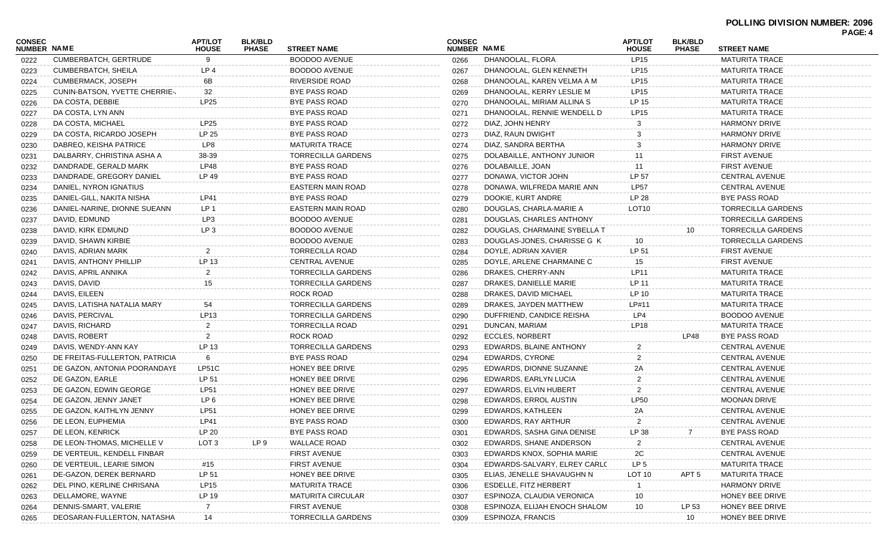|                              |                                |                                |                                |                           |                              |                               |                                |                                |                           | PAGE: 4 |
|------------------------------|--------------------------------|--------------------------------|--------------------------------|---------------------------|------------------------------|-------------------------------|--------------------------------|--------------------------------|---------------------------|---------|
| <b>CONSEC</b><br>NUMBER NAME |                                | <b>APT/LOT</b><br><b>HOUSE</b> | <b>BLK/BLD</b><br><b>PHASE</b> | <b>STREET NAME</b>        | <b>CONSEC</b><br>NUMBER NAME |                               | <b>APT/LOT</b><br><b>HOUSE</b> | <b>BLK/BLD</b><br><b>PHASE</b> | <b>STREET NAME</b>        |         |
| 0222                         | <b>CUMBERBATCH, GERTRUDE</b>   | 9                              |                                | <b>BOODOO AVENUE</b>      | 0266                         | DHANOOLAL, FLORA              | LP15                           |                                | <b>MATURITA TRACE</b>     |         |
| 0223                         | CUMBERBATCH, SHEILA            | LP 4                           |                                | <b>BOODOO AVENUE</b>      | 0267                         | DHANOOLAL, GLEN KENNETH       | LP <sub>15</sub>               |                                | <b>MATURITA TRACE</b>     |         |
| 0224                         | CUMBERMACK, JOSEPH             | 6B                             |                                | RIVERSIDE ROAD            | 0268                         | DHANOOLAL, KAREN VELMA A M    | LP <sub>15</sub>               |                                | MATURITA TRACE            |         |
| 0225                         | CUNIN-BATSON, YVETTE CHERRIE-  | 32                             |                                | BYE PASS ROAD             | 0269                         | DHANOOLAL, KERRY LESLIE M     | LP <sub>15</sub>               |                                | <b>MATURITA TRACE</b>     |         |
| 0226                         | DA COSTA, DEBBIE               | LP25                           |                                | BYE PASS ROAD             | 0270                         | DHANOOLAL, MIRIAM ALLINA S    | LP 15                          |                                | MATURITA TRACE            |         |
| 0227                         | DA COSTA, LYN ANN              |                                |                                | <b>BYE PASS ROAD</b>      | 0271                         | DHANOOLAL, RENNIE WENDELL D   | LP <sub>15</sub>               |                                | <b>MATURITA TRACE</b>     |         |
| 0228                         | DA COSTA, MICHAEL              | LP25                           |                                | <b>BYE PASS ROAD</b>      | 0272                         | DIAZ, JOHN HENRY              |                                |                                | <b>HARMONY DRIVE</b>      |         |
| 0229                         | DA COSTA, RICARDO JOSEPH       | LP 25                          |                                | BYE PASS ROAD             | 0273                         | DIAZ, RAUN DWIGHT             |                                |                                | <b>HARMONY DRIVE</b>      |         |
| 0230                         | DABREO, KEISHA PATRICE         | LP8                            |                                | MATURITA TRACE            | 0274                         | DIAZ, SANDRA BERTHA           | 3                              |                                | <b>HARMONY DRIVE</b>      |         |
| 0231                         | DALBARRY, CHRISTINA ASHA A     | 38-39                          |                                | <b>TORRECILLA GARDENS</b> | 0275                         | DOLABAILLE, ANTHONY JUNIOR    | 11                             |                                | <b>FIRST AVENUE</b>       |         |
| 0232                         | DANDRADE, GERALD MARK          | LP48                           |                                | <b>BYE PASS ROAD</b>      | 0276                         | DOLABAILLE, JOAN              | 11                             |                                | <b>FIRST AVENUE</b>       |         |
| 0233                         | DANDRADE, GREGORY DANIEL       | LP 49                          |                                | <b>BYE PASS ROAD</b>      | 0277                         | DONAWA, VICTOR JOHN           | LP 57                          |                                | CENTRAL AVENUE            |         |
| 0234                         | DANIEL, NYRON IGNATIUS         |                                |                                | EASTERN MAIN ROAD         | 0278                         | DONAWA, WILFREDA MARIE ANN    | LP57                           |                                | <b>CENTRAL AVENUE</b>     |         |
| 0235                         | DANIEL-GILL, NAKITA NISHA      | <b>LP41</b>                    |                                | BYE PASS ROAD             | 0279                         | DOOKIE, KURT ANDRE            | LP 28                          |                                | BYE PASS ROAD             |         |
| 0236                         | DANIEL-NARINE, DIONNE SUEANN   | LP 1                           |                                | EASTERN MAIN ROAD         | 0280                         | DOUGLAS, CHARLA-MARIE A       | LOT <sub>10</sub>              |                                | <b>TORRECILLA GARDENS</b> |         |
| 0237                         | DAVID, EDMUND                  | LP3                            |                                | <b>BOODOO AVENUE</b>      | 0281                         | DOUGLAS, CHARLES ANTHONY      |                                |                                | <b>TORRECILLA GARDENS</b> |         |
| 0238                         | DAVID, KIRK EDMUND             | LP <sub>3</sub>                |                                | <b>BOODOO AVENUE</b>      | 0282                         | DOUGLAS, CHARMAINE SYBELLA T  |                                | 10                             | TORRECILLA GARDENS        |         |
| 0239                         | DAVID, SHAWN KIRBIE            |                                |                                | <b>BOODOO AVENUE</b>      | 0283                         | DOUGLAS-JONES, CHARISSE G K   | 10                             |                                | <b>TORRECILLA GARDENS</b> |         |
| 0240                         | DAVIS, ADRIAN MARK             | 2                              |                                | <b>TORRECILLA ROAD</b>    | 0284                         | DOYLE, ADRIAN XAVIER          | LP 51                          |                                | <b>FIRST AVENUE</b>       |         |
| 0241                         | DAVIS, ANTHONY PHILLIP         | LP 13                          |                                | <b>CENTRAL AVENUE</b>     | 0285                         | DOYLE, ARLENE CHARMAINE C     | 15                             |                                | <b>FIRST AVENUE</b>       |         |
| 0242                         | DAVIS, APRIL ANNIKA            | $\overline{2}$                 |                                | <b>TORRECILLA GARDENS</b> | 0286                         | DRAKES, CHERRY-ANN            | LP11                           |                                | <b>MATURITA TRACE</b>     |         |
| 0243                         | DAVIS, DAVID                   | 15                             |                                | <b>TORRECILLA GARDENS</b> | 0287                         | DRAKES, DANIELLE MARIE        | LP 11                          |                                | MATURITA TRACE            |         |
| 0244                         | DAVIS, EILEEN                  |                                |                                | ROCK ROAD                 | 0288                         | DRAKES, DAVID MICHAEL         | LP 10                          |                                | MATURITA TRACE            |         |
| 0245                         | DAVIS, LATISHA NATALIA MARY    | 54                             |                                | <b>TORRECILLA GARDENS</b> | 0289                         | DRAKES, JAYDEN MATTHEW        | LP#11                          |                                | MATURITA TRACE            |         |
| 0246                         | DAVIS, PERCIVAL                | <b>LP13</b>                    |                                | <b>TORRECILLA GARDENS</b> | 0290                         | DUFFRIEND, CANDICE REISHA     | LP4                            |                                | BOODOO AVENUE             |         |
| 0247                         | DAVIS, RICHARD                 | $\overline{2}$                 |                                | <b>TORRECILLA ROAD</b>    | 0291                         | DUNCAN, MARIAM                | <b>LP18</b>                    |                                | MATURITA TRACE            |         |
| 0248                         | DAVIS, ROBERT                  | 2                              |                                | ROCK ROAD                 | 0292                         | <b>ECCLES, NORBERT</b>        |                                | LP48                           | BYE PASS ROAD             |         |
| 0249                         | DAVIS, WENDY-ANN KAY           | LP 13                          |                                | TORRECILLA GARDENS        | 0293                         | EDWARDS, BLAINE ANTHONY       | $\overline{2}$                 |                                | <b>CENTRAL AVENUE</b>     |         |
| 0250                         | DE FREITAS-FULLERTON, PATRICIA | 6                              |                                | BYE PASS ROAD             | 0294                         | <b>EDWARDS, CYRONE</b>        | $\overline{2}$                 |                                | CENTRAL AVENUE            |         |
| 0251                         | DE GAZON, ANTONIA POORANDAYE   | LP51C                          |                                | HONEY BEE DRIVE           | 0295                         | EDWARDS, DIONNE SUZANNE       | 2Α                             |                                | <b>CENTRAL AVENUE</b>     |         |
| 0252                         | DE GAZON, EARLE                | LP 51                          |                                | HONEY BEE DRIVE           | 0296                         | EDWARDS, EARLYN LUCIA         | $\overline{2}$                 |                                | CENTRAL AVENUE            |         |
| 0253                         | DE GAZON, EDWIN GEORGE         | <b>LP51</b>                    |                                | HONEY BEE DRIVE           | 0297                         | EDWARDS, ELVIN HUBERT         | $\overline{2}$                 |                                | CENTRAL AVENUE            |         |
| 0254                         | DE GAZON, JENNY JANET          | LP 6                           |                                | HONEY BEE DRIVE           | 0298                         | EDWARDS, ERROL AUSTIN         | <b>LP50</b>                    |                                | <b>MOONAN DRIVE</b>       |         |
| 0255                         | DE GAZON, KAITHLYN JENNY       | <b>LP51</b>                    |                                | HONEY BEE DRIVE           | 0299                         | EDWARDS, KATHLEEN             | 2Α                             |                                | <b>CENTRAL AVENUE</b>     |         |
| 0256                         | DE LEON, EUPHEMIA              | LP41                           |                                | BYE PASS ROAD             | 0300                         | EDWARDS, RAY ARTHUR           | $\overline{2}$                 |                                | <b>CENTRAL AVENUE</b>     |         |
| 0257                         | DE LEON, KENRICK               | LP 20                          |                                | <b>BYE PASS ROAD</b>      | 0301                         | EDWARDS, SASHA GINA DENISE    | LP 38                          | $\overline{7}$                 | BYE PASS ROAD             |         |
| 0258                         | DE LEON-THOMAS, MICHELLE V     | LOT <sub>3</sub>               | LP <sub>9</sub>                | <b>WALLACE ROAD</b>       | 0302                         | EDWARDS, SHANE ANDERSON       | 2                              |                                | <b>CENTRAL AVENUE</b>     |         |
| 0259                         | DE VERTEUIL, KENDELL FINBAR    |                                |                                | <b>FIRST AVENUE</b>       | 0303                         | EDWARDS KNOX, SOPHIA MARIE    | 2C                             |                                | <b>CENTRAL AVENUE</b>     |         |
| 0260                         | DE VERTEUIL, LEARIE SIMON      | #15                            |                                | <b>FIRST AVENUE</b>       | 0304                         | EDWARDS-SALVARY, ELREY CARLC  | LP <sub>5</sub>                |                                | <b>MATURITA TRACE</b>     |         |
| 0261                         | DE-GAZON, DEREK BERNARD        | LP 51                          |                                | HONEY BEE DRIVE           | 0305                         | ELIAS, JENELLE SHAVAUGHN N    | LOT 10                         | APT 5                          | <b>MATURITA TRACE</b>     |         |
| 0262                         | DEL PINO, KERLINE CHRISANA     | LP15                           |                                | <b>MATURITA TRACE</b>     | 0306                         | <b>ESDELLE, FITZ HERBERT</b>  |                                |                                | <b>HARMONY DRIVE</b>      |         |
| 0263                         | DELLAMORE, WAYNE               | LP 19                          |                                | <b>MATURITA CIRCULAR</b>  | 0307                         | ESPINOZA, CLAUDIA VERONICA    | 10                             |                                | HONEY BEE DRIVE           |         |
| 0264                         | DENNIS-SMART, VALERIE          |                                |                                | <b>FIRST AVENUE</b>       | 0308                         | ESPINOZA, ELIJAH ENOCH SHALOM | $10$                           | LP 53                          | HONEY BEE DRIVE           |         |
| 0265                         | DEOSARAN-FULLERTON, NATASHA    | 14                             |                                | <b>TORRECILLA GARDENS</b> | 0309                         | ESPINOZA, FRANCIS             |                                | 10                             | HONEY BEE DRIVE           |         |
|                              |                                |                                |                                |                           |                              |                               |                                |                                |                           |         |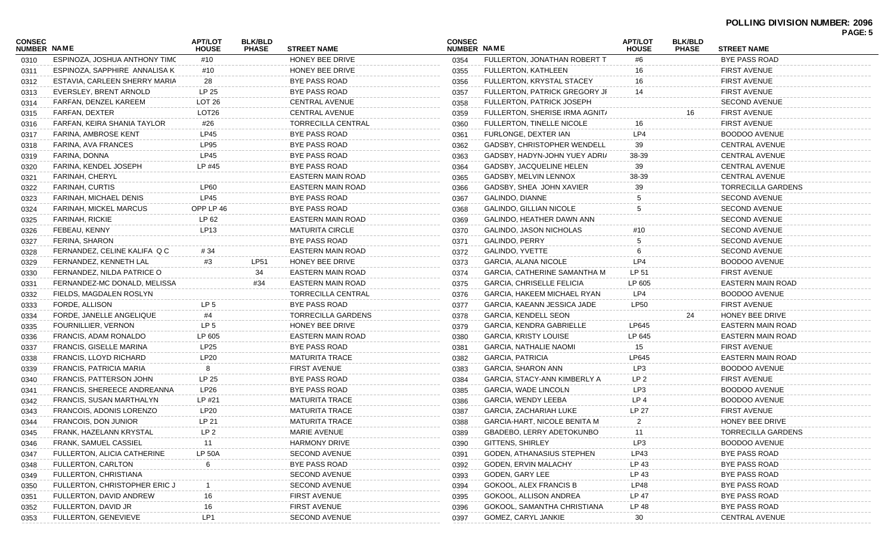| <b>CONSEC</b><br>NUMBER NAME |                               | <b>APT/LOT</b><br><b>HOUSE</b> | <b>BLK/BLD</b><br><b>PHASE</b> | <b>STREET NAME</b>        | <b>CONSEC</b><br><b>NUMBER NAME</b> |                                     | <b>APT/LOT</b><br><b>HOUSE</b> | <b>BLK/BLD</b><br><b>PHASE</b> | <b>STREET NAME</b>        | , AUL. J |
|------------------------------|-------------------------------|--------------------------------|--------------------------------|---------------------------|-------------------------------------|-------------------------------------|--------------------------------|--------------------------------|---------------------------|----------|
| 0310                         | ESPINOZA, JOSHUA ANTHONY TIMC | #10                            |                                | HONEY BEE DRIVE           | 0354                                | FULLERTON, JONATHAN ROBERT T        | #6                             |                                | <b>BYE PASS ROAD</b>      |          |
| 0311                         | ESPINOZA, SAPPHIRE ANNALISA K | #10                            |                                | HONEY BEE DRIVE           | 0355                                | <b>FULLERTON, KATHLEEN</b>          | 16                             |                                | <b>FIRST AVENUE</b>       |          |
| 0312                         | ESTAVIA, CARLEEN SHERRY MARIA | 28                             |                                | <b>BYE PASS ROAD</b>      | 0356                                | FULLERTON, KRYSTAL STACEY           | 16                             |                                | <b>FIRST AVENUE</b>       |          |
| 0313                         | EVERSLEY, BRENT ARNOLD        | LP 25                          |                                | BYE PASS ROAD             | 0357                                | FULLERTON, PATRICK GREGORY JF       | 14                             |                                | <b>FIRST AVENUE</b>       |          |
| 0314                         | FARFAN, DENZEL KAREEM         | LOT <sub>26</sub>              |                                | <b>CENTRAL AVENUE</b>     | 0358                                | FULLERTON, PATRICK JOSEPH           |                                |                                | <b>SECOND AVENUE</b>      |          |
| 0315                         | FARFAN, DEXTER                | LOT <sub>26</sub>              |                                | <b>CENTRAL AVENUE</b>     | 0359                                | FULLERTON, SHERISE IRMA AGNIT/      |                                | 16                             | <b>FIRST AVENUE</b>       |          |
| 0316                         | FARFAN, KEIRA SHANIA TAYLOR   | #26                            |                                | TORRECILLA CENTRAL        | 0360                                | FULLERTON, TINELLE NICOLE           | 16                             |                                | <b>FIRST AVENUE</b>       |          |
| 0317                         | FARINA, AMBROSE KENT          | <b>LP45</b>                    |                                | <b>BYE PASS ROAD</b>      | 0361                                | FURLONGE, DEXTER IAN                | LP4                            |                                | <b>BOODOO AVENUE</b>      |          |
| 0318                         | FARINA, AVA FRANCES           | LP95                           |                                | <b>BYE PASS ROAD</b>      | 0362                                | GADSBY, CHRISTOPHER WENDELL         | 39                             |                                | <b>CENTRAL AVENUE</b>     |          |
| 0319                         | FARINA, DONNA                 | <b>LP45</b>                    |                                | <b>BYE PASS ROAD</b>      | 0363                                | GADSBY, HADYN-JOHN YUEY ADRI/       | 38-39                          |                                | <b>CENTRAL AVENUE</b>     |          |
| 0320                         | FARINA, KENDEL JOSEPH         | LP #45                         |                                | <b>BYE PASS ROAD</b>      | 0364                                | GADSBY, JACQUELINE HELEN            | 39                             |                                | <b>CENTRAL AVENUE</b>     |          |
| 0321                         | FARINAH, CHERYL               |                                |                                | <b>EASTERN MAIN ROAD</b>  | 0365                                | GADSBY, MELVIN LENNOX               | 38-39                          |                                | <b>CENTRAL AVENUE</b>     |          |
| 0322                         | FARINAH, CURTIS               | <b>LP60</b>                    |                                | EASTERN MAIN ROAD         | 0366                                | GADSBY, SHEA JOHN XAVIER            | 39                             |                                | <b>TORRECILLA GARDENS</b> |          |
| 0323                         | FARINAH, MICHAEL DENIS        | LP45                           |                                | <b>BYE PASS ROAD</b>      | 0367                                | GALINDO, DIANNE                     |                                |                                | <b>SECOND AVENUE</b>      |          |
| 0324                         | FARINAH, MICKEL MARCUS        | OPP LP 46                      |                                | <b>BYE PASS ROAD</b>      | 0368                                | <b>GALINDO, GILLIAN NICOLE</b>      | 5                              |                                | <b>SECOND AVENUE</b>      |          |
| 0325                         | FARINAH, RICKIE               | LP 62                          |                                | EASTERN MAIN ROAD         | 0369                                | GALINDO, HEATHER DAWN ANN           |                                |                                | <b>SECOND AVENUE</b>      |          |
| 0326                         | FEBEAU, KENNY                 | LP13                           |                                | <b>MATURITA CIRCLE</b>    | 0370                                | <b>GALINDO, JASON NICHOLAS</b>      | #10                            |                                | <b>SECOND AVENUE</b>      |          |
| 0327                         | FERINA, SHARON                |                                |                                | <b>BYE PASS ROAD</b>      | 0371                                | <b>GALINDO, PERRY</b>               |                                |                                | <b>SECOND AVENUE</b>      |          |
| 0328                         | FERNANDEZ, CELINE KALIFA Q C  | # 34                           |                                | EASTERN MAIN ROAD         | 0372                                | <b>GALINDO, YVETTE</b>              |                                |                                | <b>SECOND AVENUE</b>      |          |
| 0329                         | FERNANDEZ, KENNETH LAL        | #3                             | <b>LP51</b>                    | HONEY BEE DRIVE           | 0373                                | <b>GARCIA, ALANA NICOLE</b>         | LP4                            |                                | <b>BOODOO AVENUE</b>      |          |
| 0330                         | FERNANDEZ, NILDA PATRICE O    |                                | 34                             | <b>EASTERN MAIN ROAD</b>  | 0374                                | <b>GARCIA, CATHERINE SAMANTHA M</b> | LP 51                          |                                | <b>FIRST AVENUE</b>       |          |
| 0331                         | FERNANDEZ-MC DONALD, MELISSA  |                                | #34                            | EASTERN MAIN ROAD         | 0375                                | <b>GARCIA, CHRISELLE FELICIA</b>    | LP 605                         |                                | <b>EASTERN MAIN ROAD</b>  |          |
| 0332                         | FIELDS, MAGDALEN ROSLYN       |                                |                                | <b>TORRECILLA CENTRAL</b> | 0376                                | <b>GARCIA, HAKEEM MICHAEL RYAN</b>  | LP4                            |                                | <b>BOODOO AVENUE</b>      |          |
| 0333                         | FORDE, ALLISON                | LP <sub>5</sub>                |                                | <b>BYE PASS ROAD</b>      | 0377                                | GARCIA, KAEANN JESSICA JADE         | <b>LP50</b>                    |                                | <b>FIRST AVENUE</b>       |          |
| 0334                         | FORDE, JANELLE ANGELIQUE      | #4                             |                                | TORRECILLA GARDENS        | 0378                                | <b>GARCIA, KENDELL SEON</b>         |                                | 24                             | HONEY BEE DRIVE           |          |
| 0335                         | FOURNILLIER, VERNON           | LP <sub>5</sub>                |                                | HONEY BEE DRIVE           | 0379                                | <b>GARCIA, KENDRA GABRIELLE</b>     | LP645                          |                                | EASTERN MAIN ROAD         |          |
| 0336                         | FRANCIS, ADAM RONALDO         | LP 605                         |                                | <b>EASTERN MAIN ROAD</b>  | 0380                                | <b>GARCIA, KRISTY LOUISE</b>        | LP 645                         |                                | <b>EASTERN MAIN ROAD</b>  |          |
| 0337                         | FRANCIS, GISELLE MARINA       | LP25                           |                                | <b>BYE PASS ROAD</b>      | 0381                                | <b>GARCIA, NATHALIE NAOMI</b>       | 15                             |                                | <b>FIRST AVENUE</b>       |          |
| 0338                         | FRANCIS, LLOYD RICHARD        | <b>LP20</b>                    |                                | <b>MATURITA TRACE</b>     | 0382                                | <b>GARCIA, PATRICIA</b>             | LP645                          |                                | <b>EASTERN MAIN ROAD</b>  |          |
| 0339                         | FRANCIS, PATRICIA MARIA       | 8                              |                                | <b>FIRST AVENUE</b>       | 0383                                | <b>GARCIA, SHARON ANN</b>           | LP3                            |                                | <b>BOODOO AVENUE</b>      |          |
| 0340                         | FRANCIS, PATTERSON JOHN       | LP 25                          |                                | <b>BYE PASS ROAD</b>      | 0384                                | GARCIA, STACY-ANN KIMBERLY A        | LP <sub>2</sub>                |                                | <b>FIRST AVENUE</b>       |          |
| 0341                         | FRANCIS, SHEREECE ANDREANNA   | LP26                           |                                | <b>BYE PASS ROAD</b>      | 0385                                | <b>GARCIA, WADE LINCOLN</b>         | LP3                            |                                | <b>BOODOO AVENUE</b>      |          |
| 0342                         | FRANCIS, SUSAN MARTHALYN      | LP #21                         |                                | <b>MATURITA TRACE</b>     | 0386                                | <b>GARCIA, WENDY LEEBA</b>          | LP <sub>4</sub>                |                                | <b>BOODOO AVENUE</b>      |          |
| 0343                         | FRANCOIS, ADONIS LORENZO      | <b>LP20</b>                    |                                | <b>MATURITA TRACE</b>     | 0387                                | GARCIA, ZACHARIAH LUKE              | LP 27                          |                                | <b>FIRST AVENUE</b>       |          |
| 0344                         | <b>FRANCOIS, DON JUNIOR</b>   | LP 21                          |                                | <b>MATURITA TRACE</b>     | 0388                                | <b>GARCIA-HART, NICOLE BENITA M</b> | 2                              |                                | HONEY BEE DRIVE           |          |
| 0345                         | FRANK, HAZELANN KRYSTAL       | LP <sub>2</sub>                |                                | MARIE AVENUE              | 0389                                | GBADEBO, LERRY ADETOKUNBO           | 11                             |                                | <b>TORRECILLA GARDENS</b> |          |
| 0346                         | FRANK, SAMUEL CASSIEL         | 11                             |                                | <b>HARMONY DRIVE</b>      | 0390                                | <b>GITTENS, SHIRLEY</b>             | LP3                            |                                | <b>BOODOO AVENUE</b>      |          |
| 0347                         | FULLERTON, ALICIA CATHERINE   | <b>LP 50A</b>                  |                                | <b>SECOND AVENUE</b>      | 0391                                | <b>GODEN, ATHANASIUS STEPHEN</b>    | LP43                           |                                | <b>BYE PASS ROAD</b>      |          |
| 0348                         | FULLERTON, CARLTON            |                                |                                | <b>BYE PASS ROAD</b>      | 0392                                | GODEN, ERVIN MALACHY                | LP 43                          |                                | <b>BYE PASS ROAD</b>      |          |
| 0349                         | FULLERTON, CHRISTIANA         |                                |                                | <b>SECOND AVENUE</b>      | 0393                                | <b>GODEN, GARY LEE</b>              | LP 43                          |                                | <b>BYE PASS ROAD</b>      |          |
| 0350                         | FULLERTON, CHRISTOPHER ERIC J |                                |                                | <b>SECOND AVENUE</b>      | 0394                                | <b>GOKOOL, ALEX FRANCIS B</b>       | <b>LP48</b>                    |                                | <b>BYE PASS ROAD</b>      |          |
| 0351                         | FULLERTON, DAVID ANDREW       | 16                             |                                | <b>FIRST AVENUE</b>       | 0395                                | GOKOOL, ALLISON ANDREA              | LP 47                          |                                | <b>BYE PASS ROAD</b>      |          |
| 0352                         | FULLERTON, DAVID JR           | 16                             |                                | <b>FIRST AVENUE</b>       | 0396                                | GOKOOL, SAMANTHA CHRISTIANA         | LP 48                          |                                | <b>BYE PASS ROAD</b>      |          |
| 0353                         | FULLERTON, GENEVIEVE          | LP1                            |                                | <b>SECOND AVENUE</b>      | 0397                                | GOMEZ, CARYL JANKIE                 | 30                             |                                | <b>CENTRAL AVENUE</b>     |          |
|                              |                               |                                |                                |                           |                                     |                                     |                                |                                |                           |          |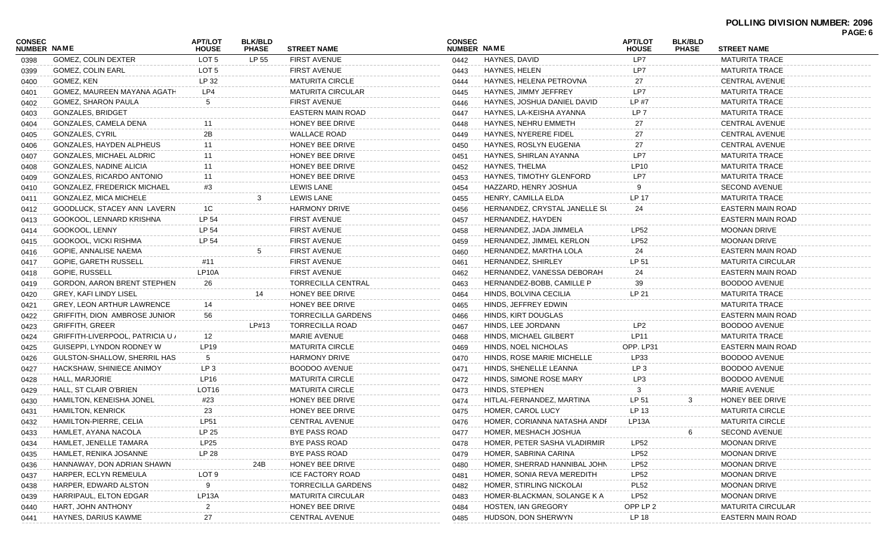#### **POLLING DIVISION NUMBER: 2096 PAGE: 6**

| <b>CONSEC</b><br><b>NUMBER NAME</b> |                                    | <b>APT/LOT</b><br><b>HOUSE</b> | <b>BLK/BLD</b><br><b>PHASE</b> | <b>STREET NAME</b>        | <b>CONSEC</b><br><b>NUMBER NAME</b> |                                 | <b>APT/LOT</b><br><b>HOUSE</b> | <b>BLK/BLD</b><br><b>PHASE</b> | <b>STREET NAME</b>       | r AGL. V |
|-------------------------------------|------------------------------------|--------------------------------|--------------------------------|---------------------------|-------------------------------------|---------------------------------|--------------------------------|--------------------------------|--------------------------|----------|
| 0398                                | <b>GOMEZ, COLIN DEXTER</b>         | LOT <sub>5</sub>               | LP 55                          | <b>FIRST AVENUE</b>       | 0442                                | HAYNES, DAVID                   | LP7                            |                                | <b>MATURITA TRACE</b>    |          |
| 0399                                | <b>GOMEZ, COLIN EARL</b>           | LOT 5                          |                                | <b>FIRST AVENUE</b>       | 0443                                | HAYNES, HELEN                   | LP7                            |                                | <b>MATURITA TRACE</b>    |          |
| 0400                                | GOMEZ, KEN                         | LP 32                          |                                | <b>MATURITA CIRCLE</b>    | 0444                                | HAYNES, HELENA PETROVNA         | 27                             |                                | <b>CENTRAL AVENUE</b>    |          |
| 0401                                | GOMEZ, MAUREEN MAYANA AGATH        | LP4                            |                                | <b>MATURITA CIRCULAR</b>  | 0445                                | HAYNES, JIMMY JEFFREY           | LP7                            |                                | <b>MATURITA TRACE</b>    |          |
| 0402                                | GOMEZ, SHARON PAULA                | 5                              |                                | <b>FIRST AVENUE</b>       | 0446                                | HAYNES, JOSHUA DANIEL DAVID     | LP #7                          |                                | <b>MATURITA TRACE</b>    |          |
| 0403                                | <b>GONZALES, BRIDGET</b>           |                                |                                | <b>EASTERN MAIN ROAD</b>  | 0447                                | HAYNES, LA-KEISHA AYANNA        | LP 7                           |                                | <b>MATURITA TRACE</b>    |          |
| 0404                                | GONZALES, CAMELA DENA              | 11                             |                                | HONEY BEE DRIVE           | 0448                                | HAYNES, NEHRU EMMETH            | 27                             |                                | <b>CENTRAL AVENUE</b>    |          |
| 0405                                | <b>GONZALES, CYRIL</b>             | 2B                             |                                | <b>WALLACE ROAD</b>       | 0449                                | HAYNES, NYERERE FIDEL           | 27                             |                                | CENTRAL AVENUE           |          |
| 0406                                | GONZALES, HAYDEN ALPHEUS           | 11                             |                                | HONEY BEE DRIVE           | 0450                                | HAYNES, ROSLYN EUGENIA          | 27                             |                                | <b>CENTRAL AVENUE</b>    |          |
| 0407                                | GONZALES, MICHAEL ALDRIC           | 11                             |                                | HONEY BEE DRIVE           | 0451                                | HAYNES, SHIRLAN AYANNA          | LP7                            |                                | <b>MATURITA TRACE</b>    |          |
| 0408                                | <b>GONZALES, NADINE ALICIA</b>     | 11                             |                                | HONEY BEE DRIVE           | 0452                                | HAYNES, THELMA                  | LP10                           |                                | <b>MATURITA TRACE</b>    |          |
| 0409                                | GONZALES, RICARDO ANTONIO          | 11                             |                                | HONEY BEE DRIVE           | 0453                                | HAYNES, TIMOTHY GLENFORD        | LP7                            |                                | <b>MATURITA TRACE</b>    |          |
| 0410                                | <b>GONZALEZ, FREDERICK MICHAEL</b> | #3                             |                                | <b>LEWIS LANE</b>         | 0454                                | HAZZARD, HENRY JOSHUA           |                                |                                | <b>SECOND AVENUE</b>     |          |
| 0411                                | GONZALEZ, MICA MICHELE             |                                |                                | <b>LEWIS LANE</b>         | 0455                                | HENRY, CAMILLA ELDA             | LP 17                          |                                | <b>MATURITA TRACE</b>    |          |
| 0412                                | GOODLUCK, STACEY ANN LAVERN        | 1C                             |                                | <b>HARMONY DRIVE</b>      | 0456                                | HERNANDEZ, CRYSTAL JANELLE SL   | 24                             |                                | EASTERN MAIN ROAD        |          |
| 0413                                | GOOKOOL, LENNARD KRISHNA           | LP 54                          |                                | <b>FIRST AVENUE</b>       | 0457                                | HERNANDEZ, HAYDEN               |                                |                                | EASTERN MAIN ROAD        |          |
| 0414                                | GOOKOOL, LENNY                     | LP 54                          |                                | <b>FIRST AVENUE</b>       | 0458                                | HERNANDEZ, JADA JIMMELA         | <b>LP52</b>                    |                                | <b>MOONAN DRIVE</b>      |          |
| 0415                                | GOOKOOL, VICKI RISHMA              | LP 54                          |                                | <b>FIRST AVENUE</b>       | 0459                                | HERNANDEZ, JIMMEL KERLON        | LP52                           |                                | <b>MOONAN DRIVE</b>      |          |
| 0416                                | GOPIE, ANNALISE NAEMA              |                                | 5                              | <b>FIRST AVENUE</b>       | 0460                                | HERNANDEZ, MARTHA LOLA          | 24                             |                                | EASTERN MAIN ROAD        |          |
| 0417                                | <b>GOPIE, GARETH RUSSELL</b>       | #11                            |                                | <b>FIRST AVENUE</b>       | 0461                                | HERNANDEZ, SHIRLEY              | LP 51                          |                                | <b>MATURITA CIRCULAR</b> |          |
| 0418                                | GOPIE, RUSSELL                     | LP10A                          |                                | <b>FIRST AVENUE</b>       | 0462                                | HERNANDEZ, VANESSA DEBORAH      | 24                             |                                | <b>EASTERN MAIN ROAD</b> |          |
| 0419                                | GORDON, AARON BRENT STEPHEN        | 26                             |                                | TORRECILLA CENTRAL        | 0463                                | HERNANDEZ-BOBB, CAMILLE P       | 39                             |                                | <b>BOODOO AVENUE</b>     |          |
| 0420                                | GREY, KAFI LINDY LISEL             |                                |                                | HONEY BEE DRIVE           | 0464                                | HINDS, BOLVINA CECILIA          | LP 21                          |                                | <b>MATURITA TRACE</b>    |          |
| 0421                                | <b>GREY, LEON ARTHUR LAWRENCE</b>  | 14                             |                                | HONEY BEE DRIVE           | 0465                                | HINDS, JEFFREY EDWIN            |                                |                                | <b>MATURITA TRACE</b>    |          |
| 0422                                | GRIFFITH, DION AMBROSE JUNIOR      | 56                             |                                | <b>TORRECILLA GARDENS</b> | 0466                                | HINDS, KIRT DOUGLAS             |                                |                                | EASTERN MAIN ROAD        |          |
| 0423                                | <b>GRIFFITH, GREER</b>             |                                | LP#13                          | <b>TORRECILLA ROAD</b>    | 0467                                | HINDS, LEE JORDANN              | LP <sub>2</sub>                |                                | <b>BOODOO AVENUE</b>     |          |
| 0424                                | GRIFFITH-LIVERPOOL, PATRICIA U /   | 12                             |                                | <b>MARIE AVENUE</b>       | 0468                                | HINDS, MICHAEL GILBERT          | <b>LP11</b>                    |                                | <b>MATURITA TRACE</b>    |          |
| 0425                                | GUISEPPI, LYNDON RODNEY W          | LP19                           |                                | <b>MATURITA CIRCLE</b>    | 0469                                | HINDS, NOEL NICHOLAS            | OPP. LP31                      |                                | EASTERN MAIN ROAD        |          |
| 0426                                | GULSTON-SHALLOW, SHERRIL HAS       | 5                              |                                | <b>HARMONY DRIVE</b>      | 0470                                | HINDS, ROSE MARIE MICHELLE      | LP33                           |                                | <b>BOODOO AVENUE</b>     |          |
| 0427                                | HACKSHAW, SHINIECE ANIMOY          | LP <sub>3</sub>                |                                | <b>BOODOO AVENUE</b>      | 0471                                | HINDS, SHENELLE LEANNA          | LP 3                           |                                | <b>BOODOO AVENUE</b>     |          |
| 0428                                | HALL, MARJORIE                     | LP16                           |                                | <b>MATURITA CIRCLE</b>    | 0472                                | HINDS, SIMONE ROSE MARY         | LP3                            |                                | <b>BOODOO AVENUE</b>     |          |
| 0429                                | HALL, ST CLAIR O'BRIEN             | LOT <sub>16</sub>              |                                | <b>MATURITA CIRCLE</b>    | 0473                                | HINDS, STEPHEN                  | 3                              |                                | MARIE AVENUE             |          |
| 0430                                | HAMILTON, KENEISHA JONEL           | #23                            |                                | HONEY BEE DRIVE           | 0474                                | HITLAL-FERNANDEZ, MARTINA       | LP 51                          | 3                              | HONEY BEE DRIVE          |          |
| 0431                                | <b>HAMILTON, KENRICK</b>           | 23                             |                                | HONEY BEE DRIVE           | 0475                                | HOMER, CAROL LUCY               | LP 13                          |                                | <b>MATURITA CIRCLE</b>   |          |
| 0432                                | <b>HAMILTON-PIERRE, CELIA</b>      | <b>LP51</b>                    |                                | <b>CENTRAL AVENUE</b>     | 0476                                | HOMER, CORIANNA NATASHA ANDF    | LP <sub>13</sub> A             |                                | <b>MATURITA CIRCLE</b>   |          |
| 0433                                | HAMLET, AYANA NACOLA               | LP 25                          |                                | BYE PASS ROAD             | 0477                                | HOMER, MESHACH JOSHUA           |                                |                                | SECOND AVENUE            |          |
| 0434                                | HAMLET, JENELLE TAMARA             | LP25                           |                                | BYE PASS ROAD             | 0478                                | HOMER, PETER SASHA VLADIRMIR    | LP52                           |                                | <b>MOONAN DRIVE</b>      |          |
| 0435                                | HAMLET, RENIKA JOSANNE             | LP 28                          |                                | BYE PASS ROAD             | 0479                                | HOMER, SABRINA CARINA           | LP52                           |                                | <b>MOONAN DRIVE</b>      |          |
| 0436                                | HANNAWAY, DON ADRIAN SHAWN         |                                | 24B                            | HONEY BEE DRIVE           | 0480                                | HOMER, SHERRAD HANNIBAL JOHN    | LP52                           |                                | <b>MOONAN DRIVE</b>      |          |
| 0437                                | HARPER, ECLYN REMEULA              | LOT 9                          |                                | ICE FACTORY ROAD          | 0481                                | HOMER, SONIA REVA MEREDITH      | LP52                           |                                | <b>MOONAN DRIVE</b>      |          |
| 0438                                | HARPER, EDWARD ALSTON              | 9                              |                                | <b>TORRECILLA GARDENS</b> | 0482                                | <b>HOMER, STIRLING NICKOLAI</b> | <b>PL52</b>                    |                                | <b>MOONAN DRIVE</b>      |          |
| 0439                                | HARRIPAUL, ELTON EDGAR             | LP13A                          |                                | <b>MATURITA CIRCULAR</b>  | 0483                                | HOMER-BLACKMAN, SOLANGE K A     | LP52                           |                                | <b>MOONAN DRIVE</b>      |          |
| 0440                                | HART, JOHN ANTHONY                 | 2                              |                                | HONEY BEE DRIVE           | 0484                                | HOSTEN, IAN GREGORY             | OPP LP 2                       |                                | <b>MATURITA CIRCULAR</b> |          |
| 0441                                | HAYNES, DARIUS KAWME               | 27                             |                                | <b>CENTRAL AVENUE</b>     | 0485                                | HUDSON, DON SHERWYN             | LP 18                          |                                | <b>EASTERN MAIN ROAD</b> |          |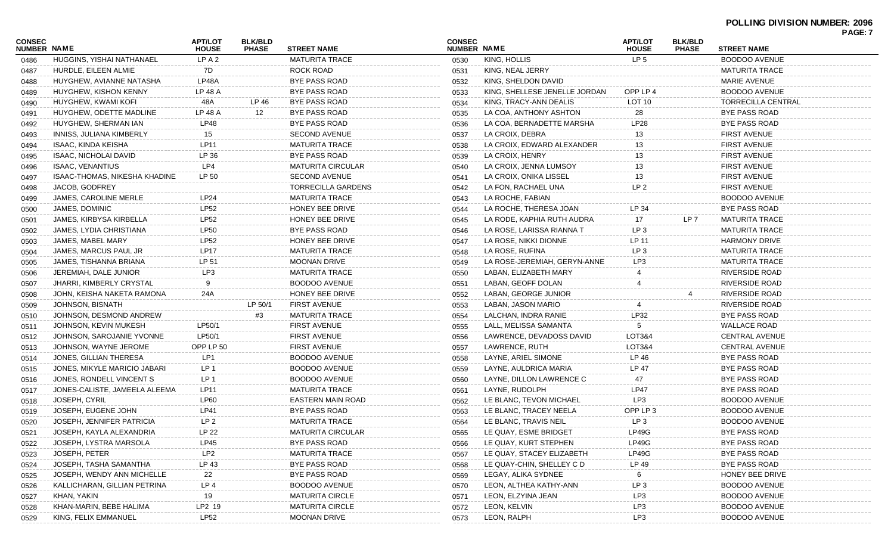#### **POLLING DIVISION NUMBER: 2096 PAGE: 7**

|                              |                               |                                |                                |                           |                              |                               |                                |                                |                           | <b>PAGE:</b> |
|------------------------------|-------------------------------|--------------------------------|--------------------------------|---------------------------|------------------------------|-------------------------------|--------------------------------|--------------------------------|---------------------------|--------------|
| <b>CONSEC</b><br>NUMBER NAME |                               | <b>APT/LOT</b><br><b>HOUSE</b> | <b>BLK/BLD</b><br><b>PHASE</b> | <b>STREET NAME</b>        | <b>CONSEC</b><br>NUMBER NAME |                               | <b>APT/LOT</b><br><b>HOUSE</b> | <b>BLK/BLD</b><br><b>PHASE</b> | <b>STREET NAME</b>        |              |
| 0486                         | HUGGINS, YISHAI NATHANAEL     | LP A 2                         |                                | <b>MATURITA TRACE</b>     | 0530                         | KING, HOLLIS                  | LP <sub>5</sub>                |                                | <b>BOODOO AVENUE</b>      |              |
| 0487                         | HURDLE, EILEEN ALMIE          | 7D                             |                                | ROCK ROAD                 | 0531                         | KING, NEAL JERRY              |                                |                                | <b>MATURITA TRACE</b>     |              |
| 0488                         | HUYGHEW, AVIANNE NATASHA      | LP48A                          |                                | BYE PASS ROAD             | 0532                         | KING, SHELDON DAVID           |                                |                                | MARIE AVENUE              |              |
| 0489                         | HUYGHEW, KISHON KENNY         | LP 48 A                        |                                | BYE PASS ROAD             | 0533                         | KING, SHELLESE JENELLE JORDAN | OPP LP 4                       |                                | BOODOO AVENUE             |              |
| 0490                         | HUYGHEW, KWAMI KOFI           | 48A                            | LP 46                          | BYE PASS ROAD             | 0534                         | KING, TRACY-ANN DEALIS        | LOT 10                         |                                | <b>TORRECILLA CENTRAL</b> |              |
| 0491                         | HUYGHEW, ODETTE MADLINE       | LP 48 A                        | 12                             | BYE PASS ROAD             | 0535                         | LA COA, ANTHONY ASHTON        | 28                             |                                | <b>BYE PASS ROAD</b>      |              |
| 0492                         | HUYGHEW, SHERMAN IAN          | LP48                           |                                | BYE PASS ROAD             | 0536                         | LA COA, BERNADETTE MARSHA     | LP28                           |                                | <b>BYE PASS ROAD</b>      |              |
| 0493                         | INNISS, JULIANA KIMBERLY      | 15                             |                                | <b>SECOND AVENUE</b>      | 0537                         | LA CROIX, DEBRA               | 13                             |                                | <b>FIRST AVENUE</b>       |              |
| 0494                         | ISAAC, KINDA KEISHA           | <b>LP11</b>                    |                                | <b>MATURITA TRACE</b>     | 0538                         | LA CROIX, EDWARD ALEXANDER    | 13                             |                                | <b>FIRST AVENUE</b>       |              |
| 0495                         | ISAAC, NICHOLAI DAVID         | LP 36                          |                                | <b>BYE PASS ROAD</b>      | 0539                         | LA CROIX, HENRY               | 13                             |                                | <b>FIRST AVENUE</b>       |              |
| 0496                         | <b>ISAAC, VENANTIUS</b>       | LP4                            |                                | <b>MATURITA CIRCULAR</b>  | 0540                         | LA CROIX, JENNA LUMSOY        | 13                             |                                | <b>FIRST AVENUE</b>       |              |
| 0497                         | ISAAC-THOMAS, NIKESHA KHADINE | LP 50                          |                                | <b>SECOND AVENUE</b>      | 0541                         | LA CROIX, ONIKA LISSEL        | 13                             |                                | <b>FIRST AVENUE</b>       |              |
| 0498                         | JACOB, GODFREY                |                                |                                | <b>TORRECILLA GARDENS</b> | 0542                         | LA FON, RACHAEL UNA           | LP <sub>2</sub>                |                                | <b>FIRST AVENUE</b>       |              |
| 0499                         | JAMES, CAROLINE MERLE         | <b>LP24</b>                    |                                | <b>MATURITA TRACE</b>     | 0543                         | LA ROCHE, FABIAN              |                                |                                | BOODOO AVENUE             |              |
| 0500                         | JAMES, DOMINIC                | <b>LP52</b>                    |                                | HONEY BEE DRIVE           | 0544                         | LA ROCHE, THERESA JOAN        | LP 34                          |                                | <b>BYE PASS ROAD</b>      |              |
| 0501                         | JAMES, KIRBYSA KIRBELLA       | <b>LP52</b>                    |                                | HONEY BEE DRIVE           | 0545                         | LA RODE, KAPHIA RUTH AUDRA    | 17                             | LP 7                           | <b>MATURITA TRACE</b>     |              |
| 0502                         | JAMES, LYDIA CHRISTIANA       | <b>LP50</b>                    |                                | BYE PASS ROAD             | 0546                         | LA ROSE, LARISSA RIANNA T     | LP <sub>3</sub>                |                                | <b>MATURITA TRACE</b>     |              |
| 0503                         | JAMES, MABEL MARY             | <b>LP52</b>                    |                                | HONEY BEE DRIVE           | 0547                         | LA ROSE, NIKKI DIONNE         | LP 11                          |                                | <b>HARMONY DRIVE</b>      |              |
| 0504                         | JAMES, MARCUS PAUL JR         | <b>LP17</b>                    |                                | <b>MATURITA TRACE</b>     | 0548                         | LA ROSE, RUFINA               | LP <sub>3</sub>                |                                | <b>MATURITA TRACE</b>     |              |
| 0505                         | JAMES, TISHANNA BRIANA        | LP 51                          |                                | <b>MOONAN DRIVE</b>       | 0549                         | LA ROSE-JEREMIAH, GERYN-ANNE  | LP3                            |                                | <b>MATURITA TRACE</b>     |              |
| 0506                         | JEREMIAH, DALE JUNIOR         | LP3                            |                                | <b>MATURITA TRACE</b>     | 0550                         | LABAN, ELIZABETH MARY         |                                |                                | RIVERSIDE ROAD            |              |
| 0507                         | JHARRI, KIMBERLY CRYSTAL      | 9                              |                                | <b>BOODOO AVENUE</b>      | 0551                         | LABAN, GEOFF DOLAN            |                                |                                | <b>RIVERSIDE ROAD</b>     |              |
| 0508                         | JOHN, KEISHA NAKETA RAMONA    | 24A                            |                                | HONEY BEE DRIVE           | 0552                         | LABAN, GEORGE JUNIOR          |                                |                                | <b>RIVERSIDE ROAD</b>     |              |
| 0509                         | JOHNSON, BISNATH              |                                | LP 50/1                        | <b>FIRST AVENUE</b>       | 0553                         | LABAN, JASON MARIO            |                                |                                | <b>RIVERSIDE ROAD</b>     |              |
| 0510                         | JOHNSON, DESMOND ANDREW       |                                | #3                             | <b>MATURITA TRACE</b>     | 0554                         | LALCHAN, INDRA RANIE          | LP32                           |                                | <b>BYE PASS ROAD</b>      |              |
| 0511                         | JOHNSON, KEVIN MUKESH         | LP50/1                         |                                | <b>FIRST AVENUE</b>       | 0555                         | LALL, MELISSA SAMANTA         | 5                              |                                | <b>WALLACE ROAD</b>       |              |
| 0512                         | JOHNSON, SAROJANIE YVONNE     | LP50/1                         |                                | <b>FIRST AVENUE</b>       | 0556                         | LAWRENCE, DEVADOSS DAVID      | LOT3&4                         |                                | <b>CENTRAL AVENUE</b>     |              |
| 0513                         | JOHNSON, WAYNE JEROME         | OPP LP 50                      |                                | <b>FIRST AVENUE</b>       | 0557                         | LAWRENCE, RUTH                | LOT3&4                         |                                | <b>CENTRAL AVENUE</b>     |              |
| 0514                         | JONES, GILLIAN THERESA        | LP1                            |                                | <b>BOODOO AVENUE</b>      | 0558                         | LAYNE, ARIEL SIMONE           | LP 46                          |                                | <b>BYE PASS ROAD</b>      |              |
| 0515                         | JONES, MIKYLE MARICIO JABARI  | LP 1                           |                                | <b>BOODOO AVENUE</b>      | 0559                         | LAYNE, AULDRICA MARIA         | LP 47                          |                                | <b>BYE PASS ROAD</b>      |              |
| 0516                         | JONES, RONDELL VINCENT S      | LP <sub>1</sub>                |                                | <b>BOODOO AVENUE</b>      | 0560                         | LAYNE, DILLON LAWRENCE C      | 47                             |                                | <b>BYE PASS ROAD</b>      |              |
| 0517                         | JONES-CALISTE, JAMEELA ALEEMA | LP11                           |                                | <b>MATURITA TRACE</b>     | 0561                         | LAYNE, RUDOLPH                | <b>LP47</b>                    |                                | BYE PASS ROAD             |              |
| 0518                         | JOSEPH, CYRIL                 | <b>LP60</b>                    |                                | <b>EASTERN MAIN ROAD</b>  | 0562                         | LE BLANC, TEVON MICHAEL       | LP3                            |                                | BOODOO AVENUE             |              |
| 0519                         | JOSEPH, EUGENE JOHN           | <b>LP41</b>                    |                                | BYE PASS ROAD             | 0563                         | LE BLANC, TRACEY NEELA        | OPP LP 3                       |                                | BOODOO AVENUE             |              |
| 0520                         | JOSEPH, JENNIFER PATRICIA     | LP <sub>2</sub>                |                                | <b>MATURITA TRACE</b>     | 0564                         | LE BLANC, TRAVIS NEIL         | LP <sub>3</sub>                |                                | BOODOO AVENUE             |              |
| 0521                         | JOSEPH, KAYLA ALEXANDRIA      | LP 22                          |                                | MATURITA CIRCULAR         | 0565                         | LE QUAY, ESME BRIDGET         | LP49G                          |                                | BYE PASS ROAD             |              |
| 0522                         | JOSEPH, LYSTRA MARSOLA        | LP45                           |                                | <b>BYE PASS ROAD</b>      | 0566                         | LE QUAY, KURT STEPHEN         | LP49G                          |                                | BYE PASS ROAD             |              |
| 0523                         | JOSEPH, PETER                 | LP <sub>2</sub>                |                                | <b>MATURITA TRACE</b>     | 0567                         | LE QUAY, STACEY ELIZABETH     | LP49G                          |                                | BYE PASS ROAD             |              |
| 0524                         | JOSEPH, TASHA SAMANTHA        | LP 43                          |                                | BYE PASS ROAD             | 0568                         | LE QUAY-CHIN, SHELLEY C D     | LP 49                          |                                | BYE PASS ROAD             |              |
| 0525                         | JOSEPH, WENDY ANN MICHELLE    | 22                             |                                | <b>BYE PASS ROAD</b>      | 0569                         | LEGAY, ALIKA SYDNEE           |                                |                                | HONEY BEE DRIVE           |              |
| 0526                         | KALLICHARAN, GILLIAN PETRINA  | LP <sub>4</sub>                |                                | BOODOO AVENUE             | 0570                         | LEON, ALTHEA KATHY-ANN        | LP <sub>3</sub>                |                                | <b>BOODOO AVENUE</b>      |              |
| 0527                         | KHAN, YAKIN                   | 19                             |                                | <b>MATURITA CIRCLE</b>    | 0571                         | LEON, ELZYINA JEAN            | LP3                            |                                | <b>BOODOO AVENUE</b>      |              |
| 0528                         | KHAN-MARIN, BEBE HALIMA       | LP2 19                         |                                | <b>MATURITA CIRCLE</b>    | 0572                         | LEON, KELVIN                  | LP3                            |                                | <b>BOODOO AVENUE</b>      |              |
| 0529                         | KING, FELIX EMMANUEL          | <b>LP52</b>                    |                                | <b>MOONAN DRIVE</b>       | 0573                         | LEON, RALPH                   | LP3                            |                                | <b>BOODOO AVENUE</b>      |              |
|                              |                               |                                |                                |                           |                              |                               |                                |                                |                           |              |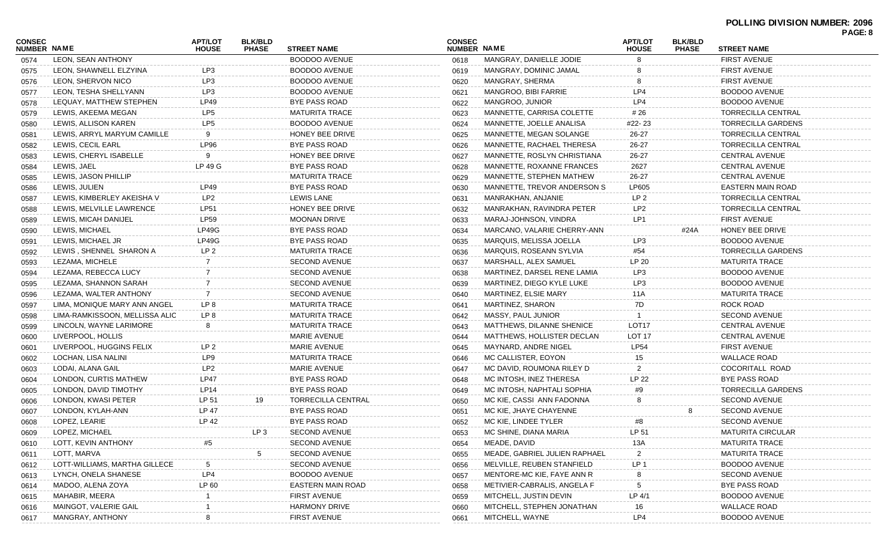|                              |                                |                                |                                |                          |                              |                               |                                |                                |                           | PAGE: 8 |
|------------------------------|--------------------------------|--------------------------------|--------------------------------|--------------------------|------------------------------|-------------------------------|--------------------------------|--------------------------------|---------------------------|---------|
| <b>CONSEC</b><br>NUMBER NAME |                                | <b>APT/LOT</b><br><b>HOUSE</b> | <b>BLK/BLD</b><br><b>PHASE</b> | <b>STREET NAME</b>       | <b>CONSEC</b><br>NUMBER NAME |                               | <b>APT/LOT</b><br><b>HOUSE</b> | <b>BLK/BLD</b><br><b>PHASE</b> | <b>STREET NAME</b>        |         |
| 0574                         | LEON, SEAN ANTHONY             |                                |                                | <b>BOODOO AVENUE</b>     | 0618                         | MANGRAY, DANIELLE JODIE       |                                |                                | <b>FIRST AVENUE</b>       |         |
| 0575                         | LEON, SHAWNELL ELZYINA         | LP3                            |                                | <b>BOODOO AVENUE</b>     | 0619                         | MANGRAY, DOMINIC JAMAL        |                                |                                | <b>FIRST AVENUE</b>       |         |
| 0576                         | LEON, SHERVON NICO             | LP3                            |                                | <b>BOODOO AVENUE</b>     | 0620                         | MANGRAY, SHERMA               |                                |                                | <b>FIRST AVENUE</b>       |         |
| 0577                         | LEON, TESHA SHELLYANN          | LP3                            |                                | <b>BOODOO AVENUE</b>     | 0621                         | MANGROO, BIBI FARRIE          | LP4                            |                                | <b>BOODOO AVENUE</b>      |         |
| 0578                         | LEQUAY, MATTHEW STEPHEN        | LP49                           |                                | BYE PASS ROAD            | 0622                         | MANGROO, JUNIOR               | LP4                            |                                | <b>BOODOO AVENUE</b>      |         |
| 0579                         | LEWIS, AKEEMA MEGAN            | LP5                            |                                | <b>MATURITA TRACE</b>    | 0623                         | MANNETTE, CARRISA COLETTE     | # 26                           |                                | <b>TORRECILLA CENTRAL</b> |         |
| 0580                         | LEWIS, ALLISON KAREN           | LP <sub>5</sub>                |                                | <b>BOODOO AVENUE</b>     | 0624                         | MANNETTE, JOELLE ANALISA      | #22- 23                        |                                | <b>TORRECILLA GARDENS</b> |         |
| 0581                         | LEWIS, ARRYL MARYUM CAMILLE    | 9                              |                                | HONEY BEE DRIVE          | 0625                         | MANNETTE, MEGAN SOLANGE       | 26-27                          |                                | <b>TORRECILLA CENTRAL</b> |         |
| 0582                         | LEWIS, CECIL EARL              | <b>LP96</b>                    |                                | BYE PASS ROAD            | 0626                         | MANNETTE, RACHAEL THERESA     | 26-27                          |                                | <b>TORRECILLA CENTRAL</b> |         |
| 0583                         | LEWIS, CHERYL ISABELLE         | 9                              |                                | HONEY BEE DRIVE          | 0627                         | MANNETTE, ROSLYN CHRISTIANA   | 26-27                          |                                | <b>CENTRAL AVENUE</b>     |         |
| 0584                         | LEWIS, JAEL                    | LP 49 G                        |                                | BYE PASS ROAD            | 0628                         | MANNETTE, ROXANNE FRANCES     | 2627                           |                                | <b>CENTRAL AVENUE</b>     |         |
| 0585                         | LEWIS, JASON PHILLIP           |                                |                                | <b>MATURITA TRACE</b>    | 0629                         | MANNETTE, STEPHEN MATHEW      | 26-27                          |                                | <b>CENTRAL AVENUE</b>     |         |
| 0586                         | LEWIS, JULIEN                  | LP49                           |                                | BYE PASS ROAD            | 0630                         | MANNETTE, TREVOR ANDERSON S   | LP605                          |                                | <b>EASTERN MAIN ROAD</b>  |         |
| 0587                         | LEWIS, KIMBERLEY AKEISHA V     | LP2                            |                                | <b>LEWIS LANE</b>        | 0631                         | MANRAKHAN, ANJANIE            | LP <sub>2</sub>                |                                | <b>TORRECILLA CENTRAL</b> |         |
| 0588                         | LEWIS, MELVILLE LAWRENCE       | <b>LP51</b>                    |                                | HONEY BEE DRIVE          | 0632                         | MANRAKHAN, RAVINDRA PETER     | LP <sub>2</sub>                |                                | <b>TORRECILLA CENTRAL</b> |         |
| 0589                         | LEWIS, MICAH DANIJEL           | <b>LP59</b>                    |                                | <b>MOONAN DRIVE</b>      | 0633                         | MARAJ-JOHNSON, VINDRA         | LP1                            |                                | <b>FIRST AVENUE</b>       |         |
| 0590                         | LEWIS, MICHAEL                 | LP49G                          |                                | <b>BYE PASS ROAD</b>     | 0634                         | MARCANO, VALARIE CHERRY-ANN   |                                | #24A                           | HONEY BEE DRIVE           |         |
| 0591                         | LEWIS, MICHAEL JR              | LP49G                          |                                | BYE PASS ROAD            | 0635                         | MARQUIS, MELISSA JOELLA       | LP3                            |                                | <b>BOODOO AVENUE</b>      |         |
| 0592                         | LEWIS, SHENNEL SHARON A        | LP <sub>2</sub>                |                                | <b>MATURITA TRACE</b>    | 0636                         | MARQUIS, ROSEANN SYLVIA       | #54                            |                                | <b>TORRECILLA GARDENS</b> |         |
| 0593                         | LEZAMA, MICHELE                | 7                              |                                | <b>SECOND AVENUE</b>     | 0637                         | MARSHALL, ALEX SAMUEL         | LP 20                          |                                | <b>MATURITA TRACE</b>     |         |
| 0594                         | LEZAMA, REBECCA LUCY           | 7                              |                                | <b>SECOND AVENUE</b>     | 0638                         | MARTINEZ, DARSEL RENE LAMIA   | LP3                            |                                | <b>BOODOO AVENUE</b>      |         |
| 0595                         | LEZAMA, SHANNON SARAH          | -7                             |                                | <b>SECOND AVENUE</b>     | 0639                         | MARTINEZ. DIEGO KYLE LUKE     | LP3                            |                                | <b>BOODOO AVENUE</b>      |         |
| 0596                         | LEZAMA, WALTER ANTHONY         | $\overline{7}$                 |                                | <b>SECOND AVENUE</b>     | 0640                         | MARTINEZ, ELSIE MARY          | 11A                            |                                | <b>MATURITA TRACE</b>     |         |
| 0597                         | LIMA, MONIQUE MARY ANN ANGEL   | LP 8                           |                                | <b>MATURITA TRACE</b>    | 0641                         | MARTINEZ, SHARON              | 7D                             |                                | ROCK ROAD                 |         |
| 0598                         | LIMA-RAMKISSOON, MELLISSA ALIC | LP 8                           |                                | <b>MATURITA TRACE</b>    | 0642                         | MASSY, PAUL JUNIOR            |                                |                                | <b>SECOND AVENUE</b>      |         |
| 0599                         | LINCOLN, WAYNE LARIMORE        | 8                              |                                | <b>MATURITA TRACE</b>    | 0643                         | MATTHEWS, DILANNE SHENICE     | LOT <sub>17</sub>              |                                | <b>CENTRAL AVENUE</b>     |         |
| 0600                         | LIVERPOOL, HOLLIS              |                                |                                | <b>MARIE AVENUE</b>      | 0644                         | MATTHEWS, HOLLISTER DECLAN    | LOT <sub>17</sub>              |                                | <b>CENTRAL AVENUE</b>     |         |
| 0601                         | LIVERPOOL, HUGGINS FELIX       | LP 2                           |                                | <b>MARIE AVENUE</b>      | 0645                         | MAYNARD, ANDRE NIGEL          | <b>LP54</b>                    |                                | <b>FIRST AVENUE</b>       |         |
| 0602                         | LOCHAN, LISA NALINI            | LP9                            |                                | <b>MATURITA TRACE</b>    | 0646                         | MC CALLISTER, EOYON           | 15                             |                                | <b>WALLACE ROAD</b>       |         |
| 0603                         | LODAI, ALANA GAIL              | LP <sub>2</sub>                |                                | <b>MARIE AVENUE</b>      | 0647                         | MC DAVID, ROUMONA RILEY D     | 2                              |                                | COCORITALL ROAD           |         |
| 0604                         | LONDON, CURTIS MATHEW          | <b>LP47</b>                    |                                | <b>BYE PASS ROAD</b>     | 0648                         | MC INTOSH, INEZ THERESA       | LP 22                          |                                | <b>BYE PASS ROAD</b>      |         |
| 0605                         | LONDON, DAVID TIMOTHY          | <b>LP14</b>                    |                                | <b>BYE PASS ROAD</b>     | 0649                         | MC INTOSH, NAPHTALI SOPHIA    | #9                             |                                | <b>TORRECILLA GARDENS</b> |         |
| 0606                         | LONDON, KWASI PETER            | LP 51                          | 19                             | TORRECILLA CENTRAL       | 0650                         | MC KIE, CASSI ANN FADONNA     | 8                              |                                | <b>SECOND AVENUE</b>      |         |
| 0607                         | LONDON, KYLAH-ANN              | LP 47                          |                                | <b>BYE PASS ROAD</b>     | 0651                         | MC KIE, JHAYE CHAYENNE        |                                | 8                              | <b>SECOND AVENUE</b>      |         |
| 0608                         | LOPEZ, LEARIE                  | LP 42                          |                                | <b>BYE PASS ROAD</b>     | 0652                         | MC KIE, LINDEE TYLER          | #8                             |                                | <b>SECOND AVENUE</b>      |         |
| 0609                         | LOPEZ, MICHAEL                 |                                | LP <sub>3</sub>                | <b>SECOND AVENUE</b>     | 0653                         | MC SHINE, DIANA MARIA         | LP 51                          |                                | <b>MATURITA CIRCULAR</b>  |         |
| 0610                         | LOTT, KEVIN ANTHONY            | #5                             |                                | <b>SECOND AVENUE</b>     | 0654                         | MEADE, DAVID                  | 13A                            |                                | <b>MATURITA TRACE</b>     |         |
| 0611                         | LOTT, MARVA                    |                                | 5                              | <b>SECOND AVENUE</b>     | 0655                         | MEADE, GABRIEL JULIEN RAPHAEL |                                |                                | <b>MATURITA TRACE</b>     |         |
| 0612                         | LOTT-WILLIAMS, MARTHA GILLECE  | -5                             |                                | <b>SECOND AVENUE</b>     | 0656                         | MELVILLE, REUBEN STANFIELD    | LP <sub>1</sub>                |                                | <b>BOODOO AVENUE</b>      |         |
| 0613                         | LYNCH, ONELA SHANESE           | LP4                            |                                | <b>BOODOO AVENUE</b>     | 0657                         | MENTORE-MC KIE, FAYE ANN R    |                                |                                | <b>SECOND AVENUE</b>      |         |
| 0614                         | MADOO, ALENA ZOYA              | LP 60                          |                                | <b>EASTERN MAIN ROAD</b> | 0658                         | METIVIER-CABRALIS, ANGELA F   |                                |                                | <b>BYE PASS ROAD</b>      |         |
| 0615                         | MAHABIR, MEERA                 |                                |                                | <b>FIRST AVENUE</b>      | 0659                         | MITCHELL, JUSTIN DEVIN        | LP 4/1                         |                                | <b>BOODOO AVENUE</b>      |         |
| 0616                         | MAINGOT, VALERIE GAIL          |                                |                                | <b>HARMONY DRIVE</b>     | 0660                         | MITCHELL, STEPHEN JONATHAN    | 16                             |                                | <b>WALLACE ROAD</b>       |         |
| 0617                         | MANGRAY, ANTHONY               |                                |                                | <b>FIRST AVENUE</b>      | 0661                         | MITCHELL, WAYNE               | LP4                            |                                | <b>BOODOO AVENUE</b>      |         |
|                              |                                |                                |                                |                          |                              |                               |                                |                                |                           |         |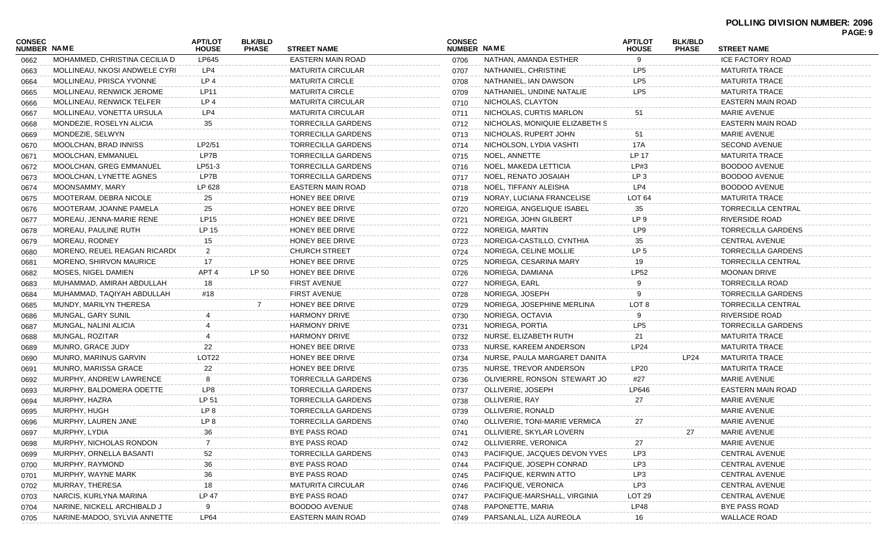| CONSEC<br><b>NUMBER NAME</b> |                               | <b>APT/LOT</b><br><b>HOUSE</b> | <b>BLK/BLD</b><br><b>PHASE</b> | <b>STREET NAME</b>        | <b>CONSEC</b><br><b>NUMBER NAME</b> |                                | <b>APT/LOT</b><br><b>HOUSE</b> | <b>BLK/BLD</b><br><b>PHASE</b> | <b>STREET NAME</b>        | PAGE: 9 |
|------------------------------|-------------------------------|--------------------------------|--------------------------------|---------------------------|-------------------------------------|--------------------------------|--------------------------------|--------------------------------|---------------------------|---------|
| 0662                         | MOHAMMED, CHRISTINA CECILIA D | LP645                          |                                | <b>EASTERN MAIN ROAD</b>  | 0706                                | NATHAN, AMANDA ESTHER          | 9                              |                                | <b>ICE FACTORY ROAD</b>   |         |
| 0663                         | MOLLINEAU, NKOSI ANDWELE CYRI | LP4                            |                                | <b>MATURITA CIRCULAR</b>  | 0707                                | NATHANIEL, CHRISTINE           | LP <sub>5</sub>                |                                | <b>MATURITA TRACE</b>     |         |
| 0664                         | MOLLINEAU, PRISCA YVONNE      | LP4                            |                                | <b>MATURITA CIRCLE</b>    | 0708                                | NATHANIEL, IAN DAWSON          | LP <sub>5</sub>                |                                | <b>MATURITA TRACE</b>     |         |
| 0665                         | MOLLINEAU, RENWICK JEROME     | LP11                           |                                | <b>MATURITA CIRCLE</b>    | 0709                                | NATHANIEL, UNDINE NATALIE      | LP <sub>5</sub>                |                                | <b>MATURITA TRACE</b>     |         |
| 0666                         | MOLLINEAU, RENWICK TELFER     | LP4                            |                                | <b>MATURITA CIRCULAR</b>  | 0710                                | NICHOLAS, CLAYTON              |                                |                                | <b>EASTERN MAIN ROAD</b>  |         |
| 0667                         | MOLLINEAU, VONETTA URSULA     | LP4                            |                                | <b>MATURITA CIRCULAR</b>  | 0711                                | NICHOLAS, CURTIS MARLON        | 51                             |                                | <b>MARIE AVENUE</b>       |         |
| 0668                         | MONDEZIE, ROSELYN ALICIA      | 35                             |                                | TORRECILLA GARDENS        | 0712                                | NICHOLAS, MONIQUIE ELIZABETH S |                                |                                | <b>EASTERN MAIN ROAD</b>  |         |
| 0669                         | MONDEZIE, SELWYN              |                                |                                | TORRECILLA GARDENS        | 0713                                | NICHOLAS, RUPERT JOHN          | 51                             |                                | <b>MARIE AVENUE</b>       |         |
| 0670                         | MOOLCHAN, BRAD INNISS         | LP2/51                         |                                | TORRECILLA GARDENS        | 0714                                | NICHOLSON, LYDIA VASHTI        | 17A                            |                                | <b>SECOND AVENUE</b>      |         |
| 0671                         | MOOLCHAN, EMMANUEL            | LP7B                           |                                | TORRECILLA GARDENS        | 0715                                | NOEL, ANNETTE                  | LP 17                          |                                | <b>MATURITA TRACE</b>     |         |
| 0672                         | MOOLCHAN, GREG EMMANUEL       | LP51-3                         |                                | TORRECILLA GARDENS        | 0716                                | NOEL, MAKEDA LETTICIA          | LP#3                           |                                | <b>BOODOO AVENUE</b>      |         |
| 0673                         | MOOLCHAN, LYNETTE AGNES       | LP7B                           |                                | TORRECILLA GARDENS        | 0717                                | NOEL, RENATO JOSAIAH           | LP <sub>3</sub>                |                                | <b>BOODOO AVENUE</b>      |         |
| 0674                         | MOONSAMMY, MARY               | LP 628                         |                                | EASTERN MAIN ROAD         | 0718                                | NOEL, TIFFANY ALEISHA          | LP4                            |                                | BOODOO AVENUE             |         |
| 0675                         | MOOTERAM, DEBRA NICOLE        | 25                             |                                | HONEY BEE DRIVE           | 0719                                | NORAY, LUCIANA FRANCELISE      | LOT <sub>64</sub>              |                                | <b>MATURITA TRACE</b>     |         |
| 0676                         | MOOTERAM, JOANNE PAMELA       | 25                             |                                | HONEY BEE DRIVE           | 0720                                | NOREIGA, ANGELIQUE ISABEL      | 35                             |                                | <b>TORRECILLA CENTRAL</b> |         |
| 0677                         | MOREAU, JENNA-MARIE RENE      | LP15                           |                                | HONEY BEE DRIVE           | 0721                                | NOREIGA, JOHN GILBERT          | LP 9                           |                                | <b>RIVERSIDE ROAD</b>     |         |
| 0678                         | MOREAU, PAULINE RUTH          | LP 15                          |                                | HONEY BEE DRIVE           | 0722                                | NOREIGA, MARTIN                | LP9                            |                                | <b>TORRECILLA GARDENS</b> |         |
| 0679                         | MOREAU, RODNEY                | 15                             |                                | HONEY BEE DRIVE           | 0723                                | NOREIGA-CASTILLO, CYNTHIA      | 35                             |                                | CENTRAL AVENUE            |         |
| 0680                         | MORENO, REUEL REAGAN RICARDO  | $\overline{2}$                 |                                | <b>CHURCH STREET</b>      | 0724                                | NORIEGA, CELINE MOLLIE         | LP <sub>5</sub>                |                                | <b>TORRECILLA GARDENS</b> |         |
| 0681                         | MORENO, SHIRVON MAURICE       | 17                             |                                | HONEY BEE DRIVE           | 0725                                | NORIEGA, CESARINA MARY         | 19                             |                                | <b>TORRECILLA CENTRAL</b> |         |
| 0682                         | MOSES, NIGEL DAMIEN           | APT <sub>4</sub>               | LP 50                          | HONEY BEE DRIVE           | 0726                                | NORIEGA, DAMIANA               | <b>LP52</b>                    |                                | <b>MOONAN DRIVE</b>       |         |
| 0683                         | MUHAMMAD, AMIRAH ABDULLAH     | 18                             |                                | <b>FIRST AVENUE</b>       | 0727                                | NORIEGA, EARL                  |                                |                                | <b>TORRECILLA ROAD</b>    |         |
| 0684                         | MUHAMMAD, TAQIYAH ABDULLAH    | #18                            |                                | <b>FIRST AVENUE</b>       | 0728                                | NORIEGA, JOSEPH                | 9                              |                                | <b>TORRECILLA GARDENS</b> |         |
| 0685                         | MUNDY, MARILYN THERESA        |                                |                                | HONEY BEE DRIVE           | 0729                                | NORIEGA, JOSEPHINE MERLINA     | LOT 8                          |                                | <b>TORRECILLA CENTRAL</b> |         |
| 0686                         | MUNGAL, GARY SUNIL            |                                |                                | <b>HARMONY DRIVE</b>      | 0730                                | NORIEGA, OCTAVIA               |                                |                                | <b>RIVERSIDE ROAD</b>     |         |
| 0687                         | MUNGAL, NALINI ALICIA         |                                |                                | <b>HARMONY DRIVE</b>      | 0731                                | NORIEGA, PORTIA                | LP <sub>5</sub>                |                                | <b>TORRECILLA GARDENS</b> |         |
| 0688                         | MUNGAL, ROZITAR               |                                |                                | <b>HARMONY DRIVE</b>      | 0732                                | NURSE, ELIZABETH RUTH          | 21                             |                                | <b>MATURITA TRACE</b>     |         |
| 0689                         | MUNRO, GRACE JUDY             | 22                             |                                | HONEY BEE DRIVE           | 0733                                | NURSE, KAREEM ANDERSON         | LP24                           |                                | <b>MATURITA TRACE</b>     |         |
| 0690                         | MUNRO, MARINUS GARVIN         | <b>LOT22</b>                   |                                | HONEY BEE DRIVE           | 0734                                | NURSE, PAULA MARGARET DANITA   |                                | LP24                           | <b>MATURITA TRACE</b>     |         |
| 0691                         | MUNRO, MARISSA GRACE          | 22                             |                                | HONEY BEE DRIVE           | 0735                                | NURSE, TREVOR ANDERSON         | <b>LP20</b>                    |                                | <b>MATURITA TRACE</b>     |         |
| 0692                         | MURPHY, ANDREW LAWRENCE       | 8                              |                                | TORRECILLA GARDENS        | 0736                                | OLIVIERRE, RONSON STEWART JO   | #27                            |                                | <b>MARIE AVENUE</b>       |         |
| 0693                         | MURPHY, BALDOMERA ODETTE      | LP8                            |                                | TORRECILLA GARDENS        | 0737                                | OLLIVERIE, JOSEPH              | LP646                          |                                | EASTERN MAIN ROAD         |         |
| 0694                         | MURPHY, HAZRA                 | LP 51                          |                                | <b>TORRECILLA GARDENS</b> | 0738                                | OLLIVERIE, RAY                 | 27                             |                                | <b>MARIE AVENUE</b>       |         |
| 0695                         | MURPHY, HUGH                  | LP 8                           |                                | TORRECILLA GARDENS        | 0739                                | OLLIVERIE, RONALD              |                                |                                | <b>MARIE AVENUE</b>       |         |
| 0696                         | MURPHY, LAUREN JANE           | LP 8                           |                                | <b>TORRECILLA GARDENS</b> | 0740                                | OLLIVERIE, TONI-MARIE VERMICA  | 27                             |                                | <b>MARIE AVENUE</b>       |         |
| 0697                         | MURPHY, LYDIA                 | 36                             |                                | BYE PASS ROAD             | 0741                                | OLLIVIERE, SKYLAR LOVERN       |                                | 27                             | <b>MARIE AVENUE</b>       |         |
| 0698                         | MURPHY, NICHOLAS RONDON       |                                |                                | <b>BYE PASS ROAD</b>      | 0742                                | OLLIVIERRE, VERONICA           | 27                             |                                | <b>MARIE AVENUE</b>       |         |
|                              | MURPHY, ORNELLA BASANTI       | 52                             |                                | <b>TORRECILLA GARDENS</b> | 0743                                | PACIFIQUE, JACQUES DEVON YVES  | LP3                            |                                | <b>CENTRAL AVENUE</b>     |         |
| 0699<br>0700                 | MURPHY, RAYMOND               | 36                             |                                | <b>BYE PASS ROAD</b>      | 0744                                | PACIFIQUE, JOSEPH CONRAD       | LP3                            |                                | <b>CENTRAL AVENUE</b>     |         |
|                              | MURPHY, WAYNE MARK            | 36                             |                                | <b>BYE PASS ROAD</b>      | 0745                                | PACIFIQUE, KERWIN ATTO         | LP3                            |                                | <b>CENTRAL AVENUE</b>     |         |
| 0701                         | MURRAY, THERESA               | 18                             |                                | <b>MATURITA CIRCULAR</b>  | 0746                                | PACIFIQUE, VERONICA            | LP3                            |                                | <b>CENTRAL AVENUE</b>     |         |
| 0702                         | NARCIS, KURLYNA MARINA        | <b>LP 47</b>                   |                                | <b>BYE PASS ROAD</b>      |                                     | PACIFIQUE-MARSHALL, VIRGINIA   | <b>LOT 29</b>                  |                                | <b>CENTRAL AVENUE</b>     |         |
| 0703                         | NARINE, NICKELL ARCHIBALD J   | 9                              |                                | BOODOO AVENUE             | 0747                                | PAPONETTE, MARIA               | LP48                           |                                | BYE PASS ROAD             |         |
| 0704                         | NARINE-MADOO, SYLVIA ANNETTE  |                                |                                | EASTERN MAIN ROAD         | 0748                                | PARSANLAL, LIZA AUREOLA        |                                |                                | <b>WALLACE ROAD</b>       |         |
| 0705                         |                               | LP64                           |                                |                           | 0749                                |                                | 16                             |                                |                           |         |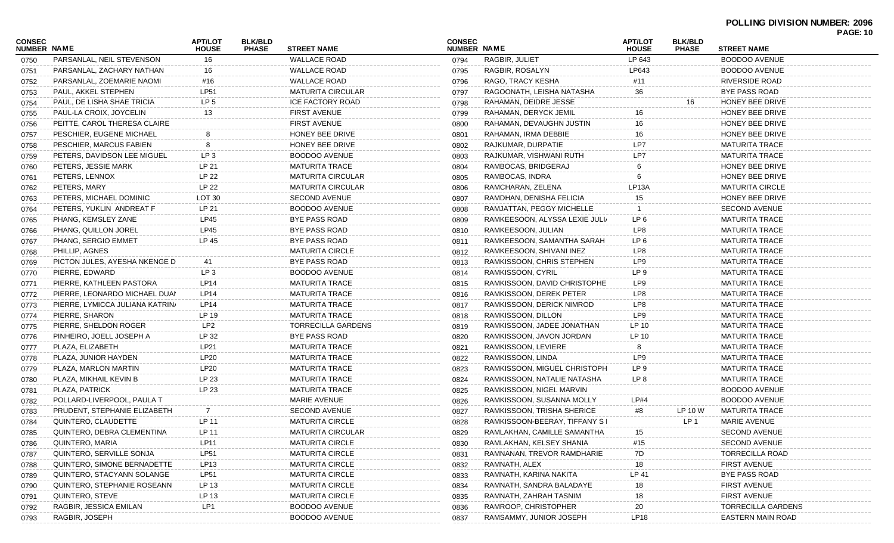|                                     |                                 |                                |                                |                           |                                     |                                |                                |                                |                           | <b>PAGE: 10</b> |
|-------------------------------------|---------------------------------|--------------------------------|--------------------------------|---------------------------|-------------------------------------|--------------------------------|--------------------------------|--------------------------------|---------------------------|-----------------|
| <b>CONSEC</b><br><b>NUMBER NAME</b> |                                 | <b>APT/LOT</b><br><b>HOUSE</b> | <b>BLK/BLD</b><br><b>PHASE</b> | <b>STREET NAME</b>        | <b>CONSEC</b><br><b>NUMBER NAME</b> |                                | <b>APT/LOT</b><br><b>HOUSE</b> | <b>BLK/BLD</b><br><b>PHASE</b> | <b>STREET NAME</b>        |                 |
| 0750                                | PARSANLAL, NEIL STEVENSON       | 16                             |                                | <b>WALLACE ROAD</b>       | 0794                                | RAGBIR, JULIET                 | LP 643                         |                                | <b>BOODOO AVENUE</b>      |                 |
| 0751                                | PARSANLAL, ZACHARY NATHAN       | 16                             |                                | <b>WALLACE ROAD</b>       | 0795                                | RAGBIR, ROSALYN                | LP643                          |                                | <b>BOODOO AVENUE</b>      |                 |
| 0752                                | PARSANLAL, ZOEMARIE NAOMI       | #16                            |                                | <b>WALLACE ROAD</b>       | 0796                                | RAGO, TRACY KESHA              | #11                            |                                | <b>RIVERSIDE ROAD</b>     |                 |
| 0753                                | PAUL. AKKEL STEPHEN             | <b>LP51</b>                    |                                | <b>MATURITA CIRCULAR</b>  | 0797                                | RAGOONATH, LEISHA NATASHA      | 36                             |                                | <b>BYE PASS ROAD</b>      |                 |
| 0754                                | PAUL, DE LISHA SHAE TRICIA      | LP <sub>5</sub>                |                                | <b>ICE FACTORY ROAD</b>   | 0798                                | RAHAMAN, DEIDRE JESSE          |                                | 16                             | HONEY BEE DRIVE           |                 |
| 0755                                | PAUL-LA CROIX, JOYCELIN         | 13                             |                                | <b>FIRST AVENUE</b>       | 0799                                | RAHAMAN, DERYCK JEMIL          | 16                             |                                | HONEY BEE DRIVE           |                 |
| 0756                                | PEITTE, CAROL THERESA CLAIRE    |                                |                                | <b>FIRST AVENUE</b>       | 0800                                | RAHAMAN, DEVAUGHN JUSTIN       | 16                             |                                | HONEY BEE DRIVE           |                 |
| 0757                                | PESCHIER, EUGENE MICHAEL        |                                |                                | HONEY BEE DRIVE           | 0801                                | RAHAMAN, IRMA DEBBIE           | 16                             |                                | HONEY BEE DRIVE           |                 |
| 0758                                | PESCHIER, MARCUS FABIEN         | 8                              |                                | HONEY BEE DRIVE           | 0802                                | RAJKUMAR, DURPATIE             | LP7                            |                                | <b>MATURITA TRACE</b>     |                 |
| 0759                                | PETERS, DAVIDSON LEE MIGUEL     | LP <sub>3</sub>                |                                | <b>BOODOO AVENUE</b>      | 0803                                | RAJKUMAR, VISHWANI RUTH        | LP7                            |                                | <b>MATURITA TRACE</b>     |                 |
| 0760                                | PETERS, JESSIE MARK             | LP 21                          |                                | <b>MATURITA TRACE</b>     | 0804                                | RAMBOCAS, BRIDGERAJ            |                                |                                | HONEY BEE DRIVE           |                 |
| 0761                                | PETERS, LENNOX                  | LP 22                          |                                | <b>MATURITA CIRCULAR</b>  | 0805                                | RAMBOCAS, INDRA                | 6                              |                                | HONEY BEE DRIVE           |                 |
| 0762                                | PETERS, MARY                    | LP 22                          |                                | <b>MATURITA CIRCULAR</b>  | 0806                                | RAMCHARAN, ZELENA              | LP <sub>13</sub> A             |                                | <b>MATURITA CIRCLE</b>    |                 |
| 0763                                | PETERS, MICHAEL DOMINIC         | LOT <sub>30</sub>              |                                | <b>SECOND AVENUE</b>      | 0807                                | RAMDHAN, DENISHA FELICIA       | 15                             |                                | HONEY BEE DRIVE           |                 |
| 0764                                | PETERS, YUKLIN ANDREAT F        | LP 21                          |                                | <b>BOODOO AVENUE</b>      | 0808                                | RAMJATTAN, PEGGY MICHELLE      |                                |                                | <b>SECOND AVENUE</b>      |                 |
| 0765                                | PHANG, KEMSLEY ZANE             | LP45                           |                                | <b>BYE PASS ROAD</b>      | 0809                                | RAMKEESOON, ALYSSA LEXIE JULI/ | LP <sub>6</sub>                |                                | <b>MATURITA TRACE</b>     |                 |
| 0766                                | PHANG, QUILLON JOREL            | LP45                           |                                | <b>BYE PASS ROAD</b>      | 0810                                | RAMKEESOON, JULIAN             | LP8                            |                                | <b>MATURITA TRACE</b>     |                 |
| 0767                                | PHANG, SERGIO EMMET             | LP 45                          |                                | <b>BYE PASS ROAD</b>      | 0811                                | RAMKEESOON, SAMANTHA SARAH     | LP <sub>6</sub>                |                                | <b>MATURITA TRACE</b>     |                 |
| 0768                                | PHILLIP, AGNES                  |                                |                                | <b>MATURITA CIRCLE</b>    | 0812                                | RAMKEESOON, SHIVANI INEZ       | LP8                            |                                | <b>MATURITA TRACE</b>     |                 |
| 0769                                | PICTON JULES, AYESHA NKENGE D   | 41                             |                                | <b>BYE PASS ROAD</b>      | 0813                                | RAMKISSOON, CHRIS STEPHEN      | LP9                            |                                | <b>MATURITA TRACE</b>     |                 |
| 0770                                | PIERRE, EDWARD                  | LP <sub>3</sub>                |                                | BOODOO AVENUE             | 0814                                | RAMKISSOON, CYRIL              | LP <sub>9</sub>                |                                | <b>MATURITA TRACE</b>     |                 |
| 0771                                | PIERRE, KATHLEEN PASTORA        | LP14                           |                                | <b>MATURITA TRACE</b>     | 0815                                | RAMKISSOON, DAVID CHRISTOPHE   | LP9                            |                                | <b>MATURITA TRACE</b>     |                 |
| 0772                                | PIERRE, LEONARDO MICHAEL DUAN   | LP14                           |                                | <b>MATURITA TRACE</b>     | 0816                                | RAMKISSOON, DEREK PETER        | LP8                            |                                | <b>MATURITA TRACE</b>     |                 |
| 0773                                | PIERRE, LYMICCA JULIANA KATRIN/ | LP14                           |                                | <b>MATURITA TRACE</b>     | 0817                                | RAMKISSOON, DERICK NIMROD      | LP8                            |                                | <b>MATURITA TRACE</b>     |                 |
| 0774                                | PIERRE, SHARON                  | LP 19                          |                                | <b>MATURITA TRACE</b>     | 0818                                | RAMKISSOON, DILLON             | LP9                            |                                | <b>MATURITA TRACE</b>     |                 |
| 0775                                | PIERRE, SHELDON ROGER           | LP2                            |                                | <b>TORRECILLA GARDENS</b> | 0819                                | RAMKISSOON, JADEE JONATHAN     | LP 10                          |                                | <b>MATURITA TRACE</b>     |                 |
| 0776                                | PINHEIRO, JOELL JOSEPH A        | LP 32                          |                                | <b>BYE PASS ROAD</b>      | 0820                                | RAMKISSOON, JAVON JORDAN       | LP 10                          |                                | <b>MATURITA TRACE</b>     |                 |
| 0777                                | PLAZA, ELIZABETH                | LP21                           |                                | <b>MATURITA TRACE</b>     | 0821                                | RAMKISSOON, LEVIERE            | 8                              |                                | <b>MATURITA TRACE</b>     |                 |
| 0778                                | PLAZA, JUNIOR HAYDEN            | LP20                           |                                | <b>MATURITA TRACE</b>     | 0822                                | RAMKISSOON, LINDA              | LP <sub>9</sub>                |                                | <b>MATURITA TRACE</b>     |                 |
| 0779                                | PLAZA, MARLON MARTIN            | <b>LP20</b>                    |                                | <b>MATURITA TRACE</b>     | 0823                                | RAMKISSOON, MIGUEL CHRISTOPH   | LP <sub>9</sub>                |                                | <b>MATURITA TRACE</b>     |                 |
| 0780                                | PLAZA, MIKHAIL KEVIN B          | LP 23                          |                                | <b>MATURITA TRACE</b>     | 0824                                | RAMKISSOON, NATALIE NATASHA    | LP 8                           |                                | <b>MATURITA TRACE</b>     |                 |
| 0781                                | PLAZA, PATRICK                  | LP 23                          |                                | <b>MATURITA TRACE</b>     | 0825                                | RAMKISSOON, NIGEL MARVIN       |                                |                                | <b>BOODOO AVENUE</b>      |                 |
| 0782                                | POLLARD-LIVERPOOL, PAULA T      |                                |                                | <b>MARIE AVENUE</b>       | 0826                                | RAMKISSOON, SUSANNA MOLLY      | LP#4                           |                                | <b>BOODOO AVENUE</b>      |                 |
| 0783                                | PRUDENT, STEPHANIE ELIZABETH    | -7                             |                                | SECOND AVENUE             | 0827                                | RAMKISSOON, TRISHA SHERICE     | #8                             | LP 10 W                        | MATURITA TRACE            |                 |
| 0784                                | QUINTERO, CLAUDETTE             | LP 11                          |                                | <b>MATURITA CIRCLE</b>    | 0828                                | RAMKISSOON-BEERAY, TIFFANY SI  |                                | LP 1                           | <b>MARIE AVENUE</b>       |                 |
| 0785                                | QUINTERO, DEBRA CLEMENTINA      | LP 11                          |                                | <b>MATURITA CIRCULAR</b>  | 0829                                | RAMLAKHAN, CAMILLE SAMANTHA    | 15                             |                                | <b>SECOND AVENUE</b>      |                 |
| 0786                                | QUINTERO, MARIA                 | <b>LP11</b>                    |                                | <b>MATURITA CIRCLE</b>    | 0830                                | RAMLAKHAN, KELSEY SHANIA       | #15                            |                                | <b>SECOND AVENUE</b>      |                 |
| 0787                                | QUINTERO, SERVILLE SONJA        | <b>LP51</b>                    |                                | <b>MATURITA CIRCLE</b>    | 0831                                | RAMNANAN, TREVOR RAMDHARIE     | 7D                             |                                | <b>TORRECILLA ROAD</b>    |                 |
| 0788                                | QUINTERO, SIMONE BERNADETTE     | LP13                           |                                | <b>MATURITA CIRCLE</b>    | 0832                                | RAMNATH, ALEX                  | 18                             |                                | <b>FIRST AVENUE</b>       |                 |
| 0789                                | QUINTERO, STACYANN SOLANGE      | <b>LP51</b>                    |                                | <b>MATURITA CIRCLE</b>    | 0833                                | RAMNATH, KARINA NAKITA         | LP 41                          |                                | <b>BYE PASS ROAD</b>      |                 |
| 0790                                | QUINTERO, STEPHANIE ROSEANN     | LP 13                          |                                | <b>MATURITA CIRCLE</b>    | 0834                                | RAMNATH, SANDRA BALADAYE       | 18                             |                                | <b>FIRST AVENUE</b>       |                 |
| 0791                                | QUINTERO, STEVE                 | LP 13                          |                                | <b>MATURITA CIRCLE</b>    | 0835                                | RAMNATH, ZAHRAH TASNIM         | 18                             |                                | <b>FIRST AVENUE</b>       |                 |
| 0792                                | RAGBIR, JESSICA EMILAN          | LP1                            |                                | <b>BOODOO AVENUE</b>      | 0836                                | RAMROOP, CHRISTOPHER           | 20                             |                                | <b>TORRECILLA GARDENS</b> |                 |
| 0793                                | RAGBIR, JOSEPH                  |                                |                                | <b>BOODOO AVENUE</b>      | 0837                                | RAMSAMMY, JUNIOR JOSEPH        | <b>LP18</b>                    |                                | <b>EASTERN MAIN ROAD</b>  |                 |
|                                     |                                 |                                |                                |                           |                                     |                                |                                |                                |                           |                 |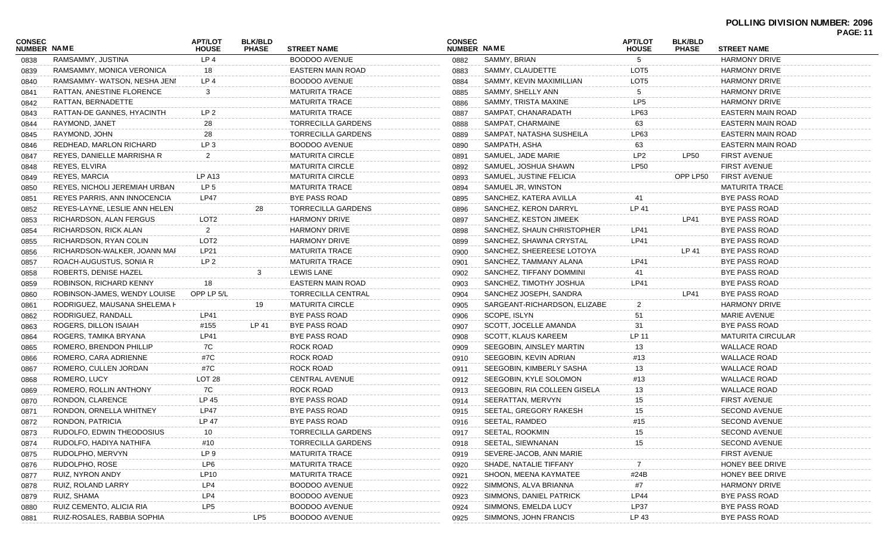### **POLLING DIVISION NUMBER: 2096**

|                              |                               |                                |                                |                           |                              |                              |                                |                                |                          | <b>PAGE: 11</b> |
|------------------------------|-------------------------------|--------------------------------|--------------------------------|---------------------------|------------------------------|------------------------------|--------------------------------|--------------------------------|--------------------------|-----------------|
| <b>CONSEC</b><br>NUMBER NAME |                               | <b>APT/LOT</b><br><b>HOUSE</b> | <b>BLK/BLD</b><br><b>PHASE</b> | <b>STREET NAME</b>        | <b>CONSEC</b><br>NUMBER NAME |                              | <b>APT/LOT</b><br><b>HOUSE</b> | <b>BLK/BLD</b><br><b>PHASE</b> | <b>STREET NAME</b>       |                 |
| 0838                         | RAMSAMMY, JUSTINA             | LP <sub>4</sub>                |                                | <b>BOODOO AVENUE</b>      | 0882                         | SAMMY, BRIAN                 | 5                              |                                | <b>HARMONY DRIVE</b>     |                 |
| 0839                         | RAMSAMMY, MONICA VERONICA     | 18                             |                                | EASTERN MAIN ROAD         | 0883                         | SAMMY, CLAUDETTE             | LOT5                           |                                | <b>HARMONY DRIVE</b>     |                 |
| 0840                         | RAMSAMMY-WATSON, NESHA JENI   | LP4                            |                                | BOODOO AVENUE             | 0884                         | SAMMY, KEVIN MAXIMILLIAN     | LOT5                           |                                | <b>HARMONY DRIVE</b>     |                 |
| 0841                         | RATTAN, ANESTINE FLORENCE     | -3                             |                                | <b>MATURITA TRACE</b>     | 0885                         | SAMMY, SHELLY ANN            | 5                              |                                | <b>HARMONY DRIVE</b>     |                 |
| 0842                         | RATTAN, BERNADETTE            |                                |                                | <b>MATURITA TRACE</b>     | 0886                         | SAMMY, TRISTA MAXINE         | LP <sub>5</sub>                |                                | <b>HARMONY DRIVE</b>     |                 |
| 0843                         | RATTAN-DE GANNES, HYACINTH    | LP <sub>2</sub>                |                                | <b>MATURITA TRACE</b>     | 0887                         | SAMPAT, CHANARADATH          | LP63                           |                                | EASTERN MAIN ROAD        |                 |
| 0844                         | RAYMOND, JANET                | 28                             |                                | TORRECILLA GARDENS        | 0888                         | SAMPAT, CHARMAINE            | 63                             |                                | EASTERN MAIN ROAD        |                 |
| 0845                         | RAYMOND, JOHN                 | 28                             |                                | TORRECILLA GARDENS        | 0889                         | SAMPAT, NATASHA SUSHEILA     | LP63                           |                                | EASTERN MAIN ROAD        |                 |
| 0846                         | REDHEAD, MARLON RICHARD       | LP <sub>3</sub>                |                                | <b>BOODOO AVENUE</b>      | 0890                         | SAMPATH, ASHA                | 63                             |                                | <b>EASTERN MAIN ROAD</b> |                 |
| 0847                         | REYES, DANIELLE MARRISHA R    | $\overline{2}$                 |                                | <b>MATURITA CIRCLE</b>    | 0891                         | SAMUEL, JADE MARIE           | LP <sub>2</sub>                | LP50                           | <b>FIRST AVENUE</b>      |                 |
| 0848                         | REYES, ELVIRA                 |                                |                                | <b>MATURITA CIRCLE</b>    | 0892                         | SAMUEL, JOSHUA SHAWN         | <b>LP50</b>                    |                                | <b>FIRST AVENUE</b>      |                 |
| 0849                         | REYES, MARCIA                 | LP A13                         |                                | <b>MATURITA CIRCLE</b>    | 0893                         | SAMUEL, JUSTINE FELICIA      |                                | OPP LP50                       | <b>FIRST AVENUE</b>      |                 |
| 0850                         | REYES, NICHOLI JEREMIAH URBAN | LP <sub>5</sub>                |                                | <b>MATURITA TRACE</b>     | 0894                         | SAMUEL JR, WINSTON           |                                |                                | <b>MATURITA TRACE</b>    |                 |
| 0851                         | REYES PARRIS, ANN INNOCENCIA  | <b>LP47</b>                    |                                | BYE PASS ROAD             | 0895                         | SANCHEZ, KATERA AVILLA       |                                |                                | BYE PASS ROAD            |                 |
| 0852                         | REYES-LAYNE, LESLIE ANN HELEN |                                | 28                             | TORRECILLA GARDENS        | 0896                         | SANCHEZ, KERON DARRYL        | LP 41                          |                                | <b>BYE PASS ROAD</b>     |                 |
| 0853                         | RICHARDSON, ALAN FERGUS       | LOT <sub>2</sub>               |                                | <b>HARMONY DRIVE</b>      | 0897                         | SANCHEZ, KESTON JIMEEK       |                                | LP41                           | BYE PASS ROAD            |                 |
| 0854                         | RICHARDSON, RICK ALAN         | $\overline{2}$                 |                                | <b>HARMONY DRIVE</b>      | 0898                         | SANCHEZ, SHAUN CHRISTOPHER   | LP41                           |                                | <b>BYE PASS ROAD</b>     |                 |
| 0855                         | RICHARDSON, RYAN COLIN        | LOT <sub>2</sub>               |                                | <b>HARMONY DRIVE</b>      | 0899                         | SANCHEZ, SHAWNA CRYSTAL      | LP41                           |                                | BYE PASS ROAD            |                 |
| 0856                         | RICHARDSON-WALKER, JOANN MAF  | LP21                           |                                | <b>MATURITA TRACE</b>     | 0900                         | SANCHEZ, SHEEREESE LOTOYA    |                                | LP 41                          | BYE PASS ROAD            |                 |
| 0857                         | ROACH-AUGUSTUS, SONIA R       | LP <sub>2</sub>                |                                | <b>MATURITA TRACE</b>     | 0901                         | SANCHEZ, TAMMANY ALANA       | LP41                           |                                | <b>BYE PASS ROAD</b>     |                 |
| 0858                         | ROBERTS, DENISE HAZEL         |                                | 3                              | <b>LEWIS LANE</b>         | 0902                         | SANCHEZ, TIFFANY DOMMINI     | 41                             |                                | BYE PASS ROAD            |                 |
| 0859                         | ROBINSON, RICHARD KENNY       | 18                             |                                | EASTERN MAIN ROAD         | 0903                         | SANCHEZ, TIMOTHY JOSHUA      | LP41                           |                                | BYE PASS ROAD            |                 |
| 0860                         | ROBINSON-JAMES, WENDY LOUISE  | OPP LP 5/L                     |                                | TORRECILLA CENTRAL        | 0904                         | SANCHEZ JOSEPH, SANDRA       |                                | LP41                           | BYE PASS ROAD            |                 |
| 0861                         | RODRIGUEZ, MAUSANA SHELEMA H  |                                | 19                             | <b>MATURITA CIRCLE</b>    | 0905                         | SARGEANT-RICHARDSON, ELIZABE |                                |                                | <b>HARMONY DRIVE</b>     |                 |
| 0862                         | RODRIGUEZ, RANDALL            | LP41                           |                                | BYE PASS ROAD             | 0906                         | SCOPE, ISLYN                 | 51                             |                                | <b>MARIE AVENUE</b>      |                 |
| 0863                         | ROGERS, DILLON ISAIAH         | #155                           | LP 41                          | BYE PASS ROAD             | 0907                         | SCOTT, JOCELLE AMANDA        | 31                             |                                | BYE PASS ROAD            |                 |
| 0864                         | ROGERS, TAMIKA BRYANA         | LP41                           |                                | BYE PASS ROAD             | 0908                         | SCOTT, KLAUS KAREEM          | LP 11                          |                                | <b>MATURITA CIRCULAR</b> |                 |
| 0865                         | ROMERO, BRENDON PHILLIP       | 7C                             |                                | ROCK ROAD                 | 0909                         | SEEGOBIN, AINSLEY MARTIN     | 13                             |                                | <b>WALLACE ROAD</b>      |                 |
| 0866                         | ROMERO, CARA ADRIENNE         | #7C                            |                                | ROCK ROAD                 | 0910                         | SEEGOBIN, KEVIN ADRIAN       | #13                            |                                | WALLACE ROAD             |                 |
| 0867                         | ROMERO, CULLEN JORDAN         | #7C                            |                                | ROCK ROAD                 | 0911                         | SEEGOBIN, KIMBERLY SASHA     | 13                             |                                | WALLACE ROAD             |                 |
| 0868                         | ROMERO, LUCY                  | LOT <sub>28</sub>              |                                | <b>CENTRAL AVENUE</b>     | 0912                         | SEEGOBIN, KYLE SOLOMON       | #13                            |                                | <b>WALLACE ROAD</b>      |                 |
| 0869                         | ROMERO, ROLLIN ANTHONY        | 7C                             |                                | ROCK ROAD                 | 0913                         | SEEGOBIN, RIA COLLEEN GISELA | 13                             |                                | <b>WALLACE ROAD</b>      |                 |
| 0870                         | RONDON, CLARENCE              | LP 45                          |                                | BYE PASS ROAD             | 0914                         | SEERATTAN, MERVYN            | 15                             |                                | <b>FIRST AVENUE</b>      |                 |
| 0871                         | RONDON, ORNELLA WHITNEY       | <b>LP47</b>                    |                                | BYE PASS ROAD             | 0915                         | SEETAL, GREGORY RAKESH       | 15                             |                                | <b>SECOND AVENUE</b>     |                 |
| 0872                         | RONDON, PATRICIA              | LP 47                          |                                | BYE PASS ROAD             | 0916                         | SEETAL, RAMDEO               | #15                            |                                | <b>SECOND AVENUE</b>     |                 |
| 0873                         | RUDOLFO, EDWIN THEODOSIUS     | 10 <sup>°</sup>                |                                | <b>TORRECILLA GARDENS</b> | 0917                         | SEETAL, ROOKMIN              | 15                             |                                | SECOND AVENUE            |                 |
| 0874                         | RUDOLFO, HADIYA NATHIFA       | #10                            |                                | <b>TORRECILLA GARDENS</b> | 0918                         | SEETAL, SIEWNANAN            | 15                             |                                | <b>SECOND AVENUE</b>     |                 |
| 0875                         | RUDOLPHO, MERVYN              | LP 9                           |                                | <b>MATURITA TRACE</b>     | 0919                         | SEVERE-JACOB, ANN MARIE      |                                |                                | <b>FIRST AVENUE</b>      |                 |
| 0876                         | RUDOLPHO, ROSE                | LP6                            |                                | <b>MATURITA TRACE</b>     | 0920                         | SHADE, NATALIE TIFFANY       |                                |                                | HONEY BEE DRIVE          |                 |
| 0877                         | RUIZ, NYRON ANDY              | LP10                           |                                | <b>MATURITA TRACE</b>     | 0921                         | <b>SHOON, MEENA KAYMATEE</b> | #24B                           |                                | HONEY BEE DRIVE          |                 |
| 0878                         | RUIZ, ROLAND LARRY            | LP4                            |                                | <b>BOODOO AVENUE</b>      | 0922                         | SIMMONS, ALVA BRIANNA        | #7                             |                                | <b>HARMONY DRIVE</b>     |                 |
| 0879                         | RUIZ, SHAMA                   | LP4                            |                                | <b>BOODOO AVENUE</b>      | 0923                         | SIMMONS, DANIEL PATRICK      | LP44                           |                                | BYE PASS ROAD            |                 |
| 0880                         | RUIZ CEMENTO, ALICIA RIA      | LP5                            |                                | <b>BOODOO AVENUE</b>      | 0924                         | SIMMONS, EMELDA LUCY         | LP37                           |                                | <b>BYE PASS ROAD</b>     |                 |
| 0881                         | RUIZ-ROSALES, RABBIA SOPHIA   |                                | LP5                            | <b>BOODOO AVENUE</b>      | 0925                         | SIMMONS, JOHN FRANCIS        | LP 43                          |                                | <b>BYE PASS ROAD</b>     |                 |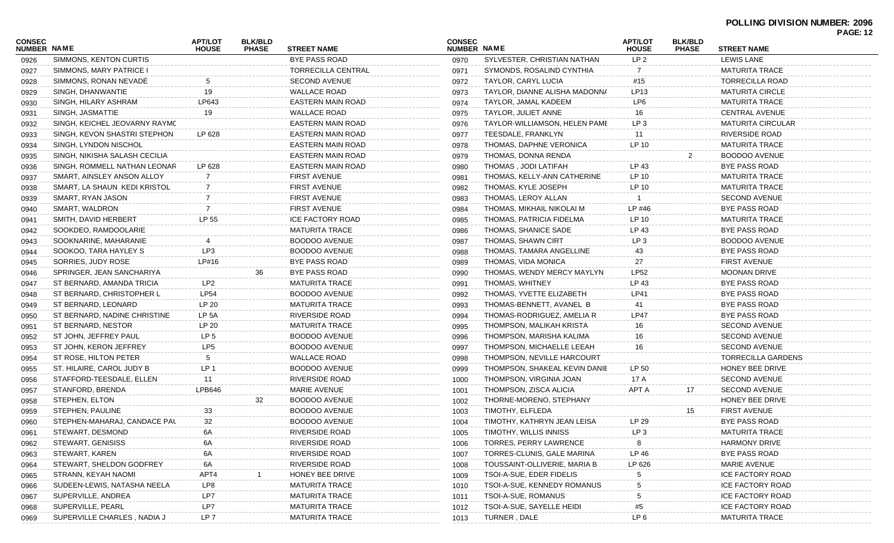|                              |                               |                                |                                |                       |                              |                               |                                |                                |                          | FAGE.IZ |
|------------------------------|-------------------------------|--------------------------------|--------------------------------|-----------------------|------------------------------|-------------------------------|--------------------------------|--------------------------------|--------------------------|---------|
| CONSEC<br><b>NUMBER NAME</b> |                               | <b>APT/LOT</b><br><b>HOUSE</b> | <b>BLK/BLD</b><br><b>PHASE</b> | <b>STREET NAME</b>    | <b>CONSEC</b><br>NUMBER NAME |                               | <b>APT/LOT</b><br><b>HOUSE</b> | <b>BLK/BLD</b><br><b>PHASE</b> | <b>STREET NAME</b>       |         |
| 0926                         | SIMMONS, KENTON CURTIS        |                                |                                | BYE PASS ROAD         | 0970                         | SYLVESTER, CHRISTIAN NATHAN   | LP 2                           |                                | <b>LEWIS LANE</b>        |         |
| 0927                         | SIMMONS, MARY PATRICE I       |                                |                                | TORRECILLA CENTRAL    | 0971                         | SYMONDS, ROSALIND CYNTHIA     |                                |                                | <b>MATURITA TRACE</b>    |         |
| 0928                         | SIMMONS, RONAN NEVADE         | 5                              |                                | <b>SECOND AVENUE</b>  | 0972                         | TAYLOR, CARYL LUCIA           | #15                            |                                | <b>TORRECILLA ROAD</b>   |         |
| 0929                         | SINGH, DHANWANTIE             | 19                             |                                | <b>WALLACE ROAD</b>   | 0973                         | TAYLOR, DIANNE ALISHA MADONNA | LP13                           |                                | <b>MATURITA CIRCLE</b>   |         |
| 0930                         | SINGH, HILARY ASHRAM          | LP643                          |                                | EASTERN MAIN ROAD     | 0974                         | TAYLOR, JAMAL KADEEM          | LP6                            |                                | <b>MATURITA TRACE</b>    |         |
| 0931                         | SINGH, JASMATTIE              | 19                             |                                | <b>WALLACE ROAD</b>   | 0975                         | TAYLOR, JULIET ANNE           | 16                             |                                | <b>CENTRAL AVENUE</b>    |         |
| 0932                         | SINGH, KEICHEL JEOVARNY RAYMC |                                |                                | EASTERN MAIN ROAD     | 0976                         | TAYLOR-WILLIAMSON, HELEN PAME | LP <sub>3</sub>                |                                | <b>MATURITA CIRCULAR</b> |         |
| 0933                         | SINGH, KEVON SHASTRI STEPHON  | LP 628                         |                                | EASTERN MAIN ROAD     | 0977                         | TEESDALE, FRANKLYN            | 11                             |                                | RIVERSIDE ROAD           |         |
| 0934                         | SINGH, LYNDON NISCHOL         |                                |                                | EASTERN MAIN ROAD     | 0978                         | THOMAS, DAPHNE VERONICA       | LP 10                          |                                | <b>MATURITA TRACE</b>    |         |
| 0935                         | SINGH, NIKISHA SALASH CECILIA |                                |                                | EASTERN MAIN ROAD     | 0979                         | THOMAS, DONNA RENDA           |                                | 2                              | BOODOO AVENUE            |         |
| 0936                         | SINGH, ROMMELL NATHAN LEONAR  | LP 628                         |                                | EASTERN MAIN ROAD     | 0980                         | THOMAS, JODI LATIFAH          | LP 43                          |                                | BYE PASS ROAD            |         |
| 0937                         | SMART, AINSLEY ANSON ALLOY    |                                |                                | <b>FIRST AVENUE</b>   | 0981                         | THOMAS, KELLY-ANN CATHERINE   | LP 10                          |                                | <b>MATURITA TRACE</b>    |         |
| 0938                         | SMART, LA SHAUN KEDI KRISTOL  |                                |                                | <b>FIRST AVENUE</b>   | 0982                         | THOMAS, KYLE JOSEPH           | LP 10                          |                                | <b>MATURITA TRACE</b>    |         |
| 0939                         | SMART, RYAN JASON             |                                |                                | <b>FIRST AVENUE</b>   | 0983                         | THOMAS, LEROY ALLAN           |                                |                                | <b>SECOND AVENUE</b>     |         |
| 0940                         | SMART, WALDRON                |                                |                                | FIRST AVENUE          | 0984                         | THOMAS, MIKHAIL NIKOLAI M     | LP #46                         |                                | BYE PASS ROAD            |         |
| 0941                         | SMITH, DAVID HERBERT          | LP 55                          |                                | ICE FACTORY ROAD      | 0985                         | THOMAS, PATRICIA FIDELMA      | LP 10                          |                                | <b>MATURITA TRACE</b>    |         |
| 0942                         | SOOKDEO, RAMDOOLARIE          |                                |                                | <b>MATURITA TRACE</b> | 0986                         | THOMAS, SHANICE SADE          | LP 43                          |                                | BYE PASS ROAD            |         |
| 0943                         | SOOKNARINE, MAHARANIE         |                                |                                | <b>BOODOO AVENUE</b>  | 0987                         | THOMAS, SHAWN CIRT            | LP <sub>3</sub>                |                                | BOODOO AVENUE            |         |
| 0944                         | SOOKOO, TARA HAYLEY S         | LP3                            |                                | <b>BOODOO AVENUE</b>  | 0988                         | THOMAS, TAMARA ANGELLINE      | 43                             |                                | <b>BYE PASS ROAD</b>     |         |
| 0945                         | SORRIES, JUDY ROSE            | LP#16                          |                                | BYE PASS ROAD         | 0989                         | THOMAS, VIDA MONICA           | 27                             |                                | <b>FIRST AVENUE</b>      |         |
| 0946                         | SPRINGER, JEAN SANCHARIYA     |                                | 36                             | BYE PASS ROAD         | 0990                         | THOMAS, WENDY MERCY MAYLYN    | LP52                           |                                | <b>MOONAN DRIVE</b>      |         |
| 0947                         | ST BERNARD, AMANDA TRICIA     | LP2                            |                                | <b>MATURITA TRACE</b> | 0991                         | THOMAS, WHITNEY               | LP 43                          |                                | BYE PASS ROAD            |         |
| 0948                         | ST BERNARD, CHRISTOPHER L     | LP54                           |                                | <b>BOODOO AVENUE</b>  | 0992                         | THOMAS, YVETTE ELIZABETH      | LP41                           |                                | BYE PASS ROAD            |         |
| 0949                         | ST BERNARD, LEONARD           | LP 20                          |                                | <b>MATURITA TRACE</b> | 0993                         | THOMAS-BENNETT, AVANEL B      | 41                             |                                | BYE PASS ROAD            |         |
| 0950                         | ST BERNARD, NADINE CHRISTINE  | LP 5A                          |                                | RIVERSIDE ROAD        | 0994                         | THOMAS-RODRIGUEZ, AMELIA R    | <b>LP47</b>                    |                                | BYE PASS ROAD            |         |
| 0951                         | ST BERNARD, NESTOR            | LP 20                          |                                | <b>MATURITA TRACE</b> | 0995                         | THOMPSON, MALIKAH KRISTA      | 16                             |                                | <b>SECOND AVENUE</b>     |         |
| 0952                         | ST JOHN, JEFFREY PAUL         | LP <sub>5</sub>                |                                | <b>BOODOO AVENUE</b>  | 0996                         | THOMPSON, MARISHA KALIMA      | 16                             |                                | <b>SECOND AVENUE</b>     |         |
| 0953                         | ST JOHN, KERON JEFFREY        | LP <sub>5</sub>                |                                | <b>BOODOO AVENUE</b>  | 0997                         | THOMPSON, MICHAELLE LEEAH     | 16                             |                                | <b>SECOND AVENUE</b>     |         |
| 0954                         | ST ROSE, HILTON PETER         | 5                              |                                | <b>WALLACE ROAD</b>   | 0998                         | THOMPSON, NEVILLE HARCOURT    |                                |                                | TORRECILLA GARDENS       |         |
| 0955                         | ST. HILAIRE, CAROL JUDY B     | LP <sub>1</sub>                |                                | <b>BOODOO AVENUE</b>  | 0999                         | THOMPSON, SHAKEAL KEVIN DANIE | LP 50                          |                                | HONEY BEE DRIVE          |         |
| 0956                         | STAFFORD-TEESDALE, ELLEN      | 11                             |                                | RIVERSIDE ROAD        | 1000                         | THOMPSON, VIRGINIA JOAN       | 17 A                           |                                | <b>SECOND AVENUE</b>     |         |
| 0957                         | STANFORD, BRENDA              | <b>LPB646</b>                  |                                | <b>MARIE AVENUE</b>   | 1001                         | THOMPSON, ZISCA ALICIA        | APT A                          | 17                             | <b>SECOND AVENUE</b>     |         |
| 0958                         | STEPHEN, ELTON                |                                | 32                             | <b>BOODOO AVENUE</b>  | 1002                         | THORNE-MORENO, STEPHANY       |                                |                                | HONEY BEE DRIVE          |         |
| 0959                         | STEPHEN, PAULINE              | 33                             |                                | <b>BOODOO AVENUE</b>  | 1003                         | TIMOTHY, ELFLEDA              |                                | 15                             | <b>FIRST AVENUE</b>      |         |
| 0960                         | STEPHEN-MAHARAJ, CANDACE PAL  | 32                             |                                | <b>BOODOO AVENUE</b>  | 1004                         | TIMOTHY, KATHRYN JEAN LEISA   | LP 29                          |                                | BYE PASS ROAD            |         |
| 0961                         | STEWART, DESMOND              | 6A                             |                                | RIVERSIDE ROAD        | 1005                         | TIMOTHY, WILLIS INNISS        | LP 3                           |                                | <b>MATURITA TRACE</b>    |         |
| 0962                         | STEWART, GENISISS             |                                |                                | RIVERSIDE ROAD        | 1006                         | TORRES, PERRY LAWRENCE        |                                |                                | <b>HARMONY DRIVE</b>     |         |
| 0963                         | STEWART, KAREN                | 6A                             |                                | <b>RIVERSIDE ROAD</b> | 1007                         | TORRES-CLUNIS, GALE MARINA    | LP 46                          |                                | BYE PASS ROAD            |         |
| 0964                         | STEWART, SHELDON GODFREY      | 6A                             |                                | RIVERSIDE ROAD        | 1008                         | TOUSSAINT-OLLIVERIE, MARIA B  | LP 626                         |                                | MARIE AVENUE             |         |
| 0965                         | STRANN, KEYAH NAOMI           | APT4                           |                                | HONEY BEE DRIVE       | 1009                         | TSOI-A-SUE, EDER FIDELIS      |                                |                                | <b>ICE FACTORY ROAD</b>  |         |
| 0966                         | SUDEEN-LEWIS, NATASHA NEELA   | LP8                            |                                | <b>MATURITA TRACE</b> | 1010                         | TSOI-A-SUE, KENNEDY ROMANUS   |                                |                                | <b>ICE FACTORY ROAD</b>  |         |
| 0967                         | SUPERVILLE, ANDREA            | LP7                            |                                | <b>MATURITA TRACE</b> | 1011                         | TSOI-A-SUE, ROMANUS           |                                |                                | <b>ICE FACTORY ROAD</b>  |         |
| 0968                         | SUPERVILLE, PEARL             | LP7                            |                                | <b>MATURITA TRACE</b> | 1012                         | TSOI-A-SUE, SAYELLE HEIDI     | #5                             |                                | <b>ICE FACTORY ROAD</b>  |         |
| 0969                         | SUPERVILLE CHARLES, NADIA J   | LP 7                           |                                | <b>MATURITA TRACE</b> | 1013                         | TURNER, DALE                  | LP 6                           |                                | <b>MATURITA TRACE</b>    |         |
|                              |                               |                                |                                |                       |                              |                               |                                |                                |                          |         |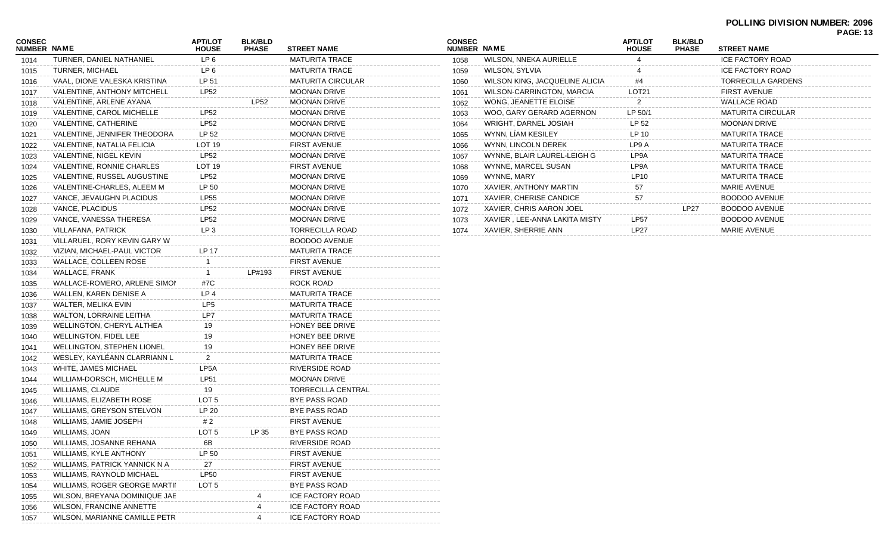## **POLLING DIVISION NUMBER: 2096 PAGE: 13**

| CONSEC<br><b>NUMBER NAME</b> |                                   | <b>APT/LOT</b><br><b>HOUSE</b> | <b>BLK/BLD</b><br><b>PHASE</b> | <b>STREET NAME</b>       | COI<br>NUN |
|------------------------------|-----------------------------------|--------------------------------|--------------------------------|--------------------------|------------|
| 1014                         | TURNER, DANIEL NATHANIEL          | LP 6                           |                                | <b>MATURITA TRACE</b>    | 10         |
| 1015                         | TURNER, MICHAEL                   | LP <sub>6</sub>                |                                | <b>MATURITA TRACE</b>    | 10         |
| 1016                         | VAAL, DIONE VALESKA KRISTINA      | LP 51                          |                                | <b>MATURITA CIRCULAR</b> | 10         |
| 1017                         | VALENTINE, ANTHONY MITCHELL       | <b>LP52</b>                    |                                | <b>MOONAN DRIVE</b>      | 10         |
| 1018                         | VALENTINE, ARLENE AYANA           |                                | <b>LP52</b>                    | <b>MOONAN DRIVE</b>      | 10         |
| 1019                         | VALENTINE, CAROL MICHELLE         | <b>LP52</b>                    |                                | <b>MOONAN DRIVE</b>      | 10         |
| 1020                         | VALENTINE, CATHERINE              | <b>LP52</b>                    |                                | <b>MOONAN DRIVE</b>      | 10         |
| 1021                         | VALENTINE, JENNIFER THEODORA      | LP 52                          |                                | <b>MOONAN DRIVE</b>      | 10         |
| 1022                         | VALENTINE, NATALIA FELICIA        | LOT 19                         |                                | <b>FIRST AVENUE</b>      | 10         |
| 1023                         | VALENTINE, NIGEL KEVIN            | <b>LP52</b>                    |                                | <b>MOONAN DRIVE</b>      | 10         |
| 1024                         | VALENTINE, RONNIE CHARLES         | LOT 19                         |                                | <b>FIRST AVENUE</b>      | 10         |
| 1025                         | VALENTINE, RUSSEL AUGUSTINE       | <b>LP52</b>                    |                                | <b>MOONAN DRIVE</b>      | 10         |
| 1026                         | VALENTINE-CHARLES, ALEEM M        | LP 50                          |                                | <b>MOONAN DRIVE</b>      | 10         |
| 1027                         | VANCE, JEVAUGHN PLACIDUS          | <b>LP55</b>                    |                                | <b>MOONAN DRIVE</b>      | 10         |
| 1028                         | VANCE, PLACIDUS                   | <b>LP52</b>                    |                                | <b>MOONAN DRIVE</b>      | 10         |
| 1029                         | VANCE, VANESSA THERESA            | <b>LP52</b>                    |                                | <b>MOONAN DRIVE</b>      | 10         |
| 1030                         | VILLAFANA, PATRICK                | LP <sub>3</sub>                |                                | <b>TORRECILLA ROAD</b>   | 10         |
| 1031                         | VILLARUEL, RORY KEVIN GARY W      |                                |                                | <b>BOODOO AVENUE</b>     |            |
| 1032                         | VIZIAN, MICHAEL-PAUL VICTOR       | <b>LP 17</b>                   |                                | <b>MATURITA TRACE</b>    |            |
| 1033                         | WALLACE, COLLEEN ROSE             | 1                              |                                | <b>FIRST AVENUE</b>      |            |
| 1034                         | WALLACE, FRANK                    | $\mathbf{1}$                   | LP#193                         | <b>FIRST AVENUE</b>      |            |
| 1035                         | WALLACE-ROMERO, ARLENE SIMON      | #7C                            |                                | ROCK ROAD                |            |
| 1036                         | WALLEN, KAREN DENISE A            | LP 4                           |                                | <b>MATURITA TRACE</b>    |            |
| 1037                         | WALTER, MELIKA EVIN               | LP <sub>5</sub>                |                                | <b>MATURITA TRACE</b>    |            |
| 1038                         | <b>WALTON, LORRAINE LEITHA</b>    | LP7                            |                                | <b>MATURITA TRACE</b>    |            |
| 1039                         | WELLINGTON, CHERYL ALTHEA         | 19                             |                                | HONEY BEE DRIVE          |            |
| 1040                         | WELLINGTON, FIDEL LEE             | 19                             |                                | HONEY BEE DRIVE          |            |
| 1041                         | <b>WELLINGTON, STEPHEN LIONEL</b> | 19                             |                                | HONEY BEE DRIVE          |            |
| 1042                         | WESLEY, KAYLÉANN CLARRIANN L      | $\overline{2}$                 |                                | <b>MATURITA TRACE</b>    |            |
| 1043                         | WHITE, JAMES MICHAEL              | LP5A                           |                                | RIVERSIDE ROAD           |            |
| 1044                         | WILLIAM-DORSCH, MICHELLE M        | LP51                           |                                | <b>MOONAN DRIVE</b>      |            |
| 1045                         | <b>WILLIAMS, CLAUDE</b>           | 19                             |                                | TORRECILLA CENTRAL       |            |
| 1046                         | WILLIAMS, ELIZABETH ROSE          | LOT <sub>5</sub>               |                                | BYE PASS ROAD            |            |
| 1047                         | WILLIAMS, GREYSON STELVON         | LP 20                          |                                | <b>BYE PASS ROAD</b>     |            |
| 1048                         | WILLIAMS, JAMIE JOSEPH            | #2                             |                                | <b>FIRST AVENUE</b>      |            |
| 1049                         | WILLIAMS, JOAN                    | LOT <sub>5</sub>               | LP 35                          | BYE PASS ROAD            |            |
| 1050                         | WILLIAMS, JOSANNE REHANA          | 6B                             |                                | RIVERSIDE ROAD           |            |
| 1051                         | WILLIAMS, KYLE ANTHONY            | LP 50                          |                                | <b>FIRST AVENUE</b>      |            |
| 1052                         | WILLIAMS, PATRICK YANNICK N A     | 27                             |                                | <b>FIRST AVENUE</b>      |            |
| 1053                         | WILLIAMS, RAYNOLD MICHAEL         | <b>LP50</b>                    |                                | <b>FIRST AVENUE</b>      |            |
| 1054                         | WILLIAMS, ROGER GEORGE MARTII     | LOT 5                          |                                | <b>BYE PASS ROAD</b>     |            |
| 1055                         | WILSON, BREYANA DOMINIQUE JAE     |                                | 4                              | <b>ICE FACTORY ROAD</b>  |            |
| 1056                         | <b>WILSON, FRANCINE ANNETTE</b>   |                                | 4                              | <b>ICE FACTORY ROAD</b>  |            |
| 1057                         | WILSON, MARIANNE CAMILLE PETR     |                                | 4                              | ICE FACTORY ROAD         |            |
|                              |                                   |                                |                                |                          |            |

| <b>CONSEC</b><br><b>NUMBER</b> | <b>NAME</b>                    | <b>APT/LOT</b><br><b>HOUSE</b> | <b>BLK/BLD</b><br><b>PHASE</b> | <b>STREET NAME</b>       |
|--------------------------------|--------------------------------|--------------------------------|--------------------------------|--------------------------|
| 1058                           | <b>WILSON, NNEKA AURIELLE</b>  | 4                              |                                | <b>ICE FACTORY ROAD</b>  |
| 1059                           | WILSON, SYLVIA                 | 4                              |                                | <b>ICE FACTORY ROAD</b>  |
| 1060                           | WILSON KING, JACQUELINE ALICIA | #4                             |                                | TORRECILLA GARDENS       |
| 1061                           | WILSON-CARRINGTON, MARCIA      | LOT <sub>21</sub>              |                                | <b>FIRST AVENUE</b>      |
| 1062                           | WONG, JEANETTE ELOISE          | 2                              |                                | <b>WALLACE ROAD</b>      |
| 1063                           | WOO, GARY GERARD AGERNON       | LP 50/1                        |                                | <b>MATURITA CIRCULAR</b> |
| 1064                           | WRIGHT, DARNEL JOSIAH          | LP 52                          |                                | <b>MOONAN DRIVE</b>      |
| 1065                           | WYNN, LIAM KESILEY             | LP 10                          |                                | <b>MATURITA TRACE</b>    |
| 1066                           | WYNN, LINCOLN DEREK            | LP9 A                          |                                | <b>MATURITA TRACE</b>    |
| 1067                           | WYNNE, BLAIR LAUREL-LEIGH G    | LP9A                           |                                | <b>MATURITA TRACE</b>    |
| 1068                           | WYNNE, MARCEL SUSAN            | LP9A                           |                                | <b>MATURITA TRACE</b>    |
| 1069                           | WYNNE, MARY                    | LP10                           |                                | <b>MATURITA TRACE</b>    |
| 1070                           | XAVIER, ANTHONY MARTIN         | 57                             |                                | <b>MARIE AVENUE</b>      |
| 1071                           | XAVIER, CHERISE CANDICE        | 57                             |                                | <b>BOODOO AVENUE</b>     |
| 1072                           | XAVIER, CHRIS AARON JOEL       |                                | <b>LP27</b>                    | BOODOO AVENUE            |
| 1073                           | XAVIER, LEE-ANNA LAKITA MISTY  | LP57                           |                                | <b>BOODOO AVENUE</b>     |
| 1074                           | XAVIER, SHERRIE ANN            | <b>LP27</b>                    |                                | <b>MARIE AVENUE</b>      |
|                                |                                |                                |                                |                          |